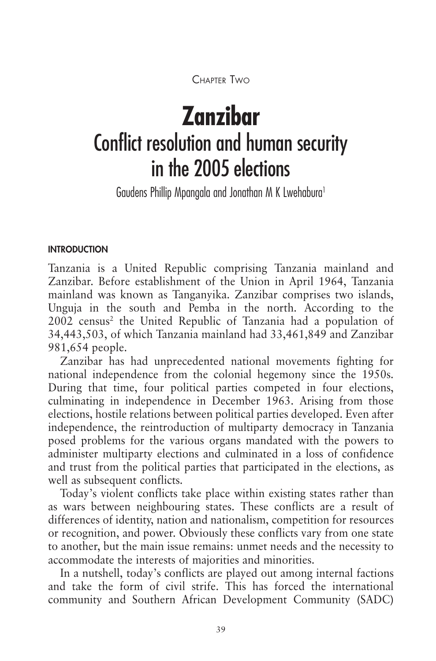CHAPTER TWO

# **Zanzibar** Conflict resolution and human security in the 2005 elections

Gaudens Phillip Mpangala and Jonathan M K Lwehabura1

## **INTRODUCTION**

Tanzania is a United Republic comprising Tanzania mainland and Zanzibar. Before establishment of the Union in April 1964, Tanzania mainland was known as Tanganyika. Zanzibar comprises two islands, Unguja in the south and Pemba in the north. According to the 2002 census<sup>2</sup> the United Republic of Tanzania had a population of 34,443,503, of which Tanzania mainland had 33,461,849 and Zanzibar 981,654 people.

Zanzibar has had unprecedented national movements fighting for national independence from the colonial hegemony since the 1950s. During that time, four political parties competed in four elections, culminating in independence in December 1963. Arising from those elections, hostile relations between political parties developed. Even after independence, the reintroduction of multiparty democracy in Tanzania posed problems for the various organs mandated with the powers to administer multiparty elections and culminated in a loss of confidence and trust from the political parties that participated in the elections, as well as subsequent conflicts.

Today's violent conflicts take place within existing states rather than as wars between neighbouring states. These conflicts are a result of differences of identity, nation and nationalism, competition for resources or recognition, and power. Obviously these conflicts vary from one state to another, but the main issue remains: unmet needs and the necessity to accommodate the interests of majorities and minorities.

In a nutshell, today's conflicts are played out among internal factions and take the form of civil strife. This has forced the international community and Southern African Development Community (SADC)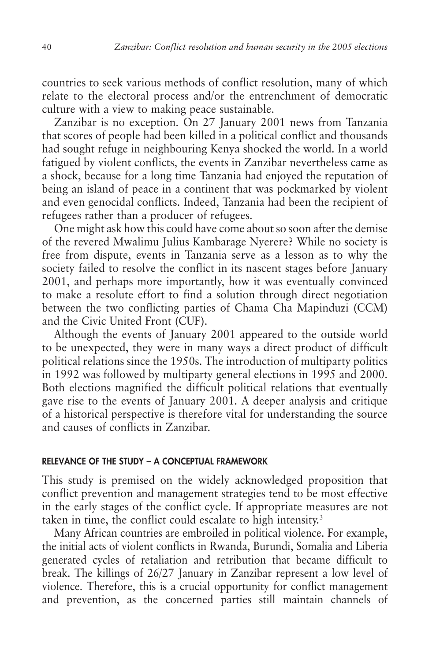countries to seek various methods of conflict resolution, many of which relate to the electoral process and/or the entrenchment of democratic culture with a view to making peace sustainable.

Zanzibar is no exception. On 27 January 2001 news from Tanzania that scores of people had been killed in a political conflict and thousands had sought refuge in neighbouring Kenya shocked the world. In a world fatigued by violent conflicts, the events in Zanzibar nevertheless came as a shock, because for a long time Tanzania had enjoyed the reputation of being an island of peace in a continent that was pockmarked by violent and even genocidal conflicts. Indeed, Tanzania had been the recipient of refugees rather than a producer of refugees.

One might ask how this could have come about so soon after the demise of the revered Mwalimu Julius Kambarage Nyerere? While no society is free from dispute, events in Tanzania serve as a lesson as to why the society failed to resolve the conflict in its nascent stages before January 2001, and perhaps more importantly, how it was eventually convinced to make a resolute effort to find a solution through direct negotiation between the two conflicting parties of Chama Cha Mapinduzi (CCM) and the Civic United Front (CUF).

Although the events of January 2001 appeared to the outside world to be unexpected, they were in many ways a direct product of difficult political relations since the 1950s. The introduction of multiparty politics in 1992 was followed by multiparty general elections in 1995 and 2000. Both elections magnified the difficult political relations that eventually gave rise to the events of January 2001. A deeper analysis and critique of a historical perspective is therefore vital for understanding the source and causes of conflicts in Zanzibar.

#### **RELEVANCE OF THE STUDY – A CONCEPTUAL FRAMEWORK**

This study is premised on the widely acknowledged proposition that conflict prevention and management strategies tend to be most effective in the early stages of the conflict cycle. If appropriate measures are not taken in time, the conflict could escalate to high intensity.<sup>3</sup>

Many African countries are embroiled in political violence. For example, the initial acts of violent conflicts in Rwanda, Burundi, Somalia and Liberia generated cycles of retaliation and retribution that became difficult to break. The killings of 26/27 January in Zanzibar represent a low level of violence. Therefore, this is a crucial opportunity for conflict management and prevention, as the concerned parties still maintain channels of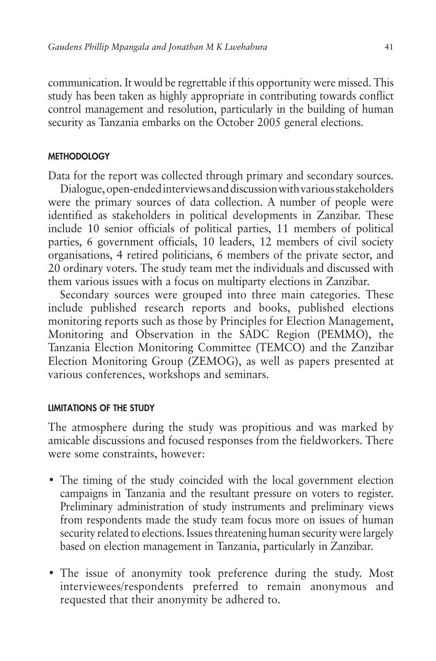communication. It would be regrettable if this opportunity were missed. This study has been taken as highly appropriate in contributing towards conflict control management and resolution, particularly in the building of human security as Tanzania embarks on the October 2005 general elections.

## **METHODOLOGY**

Data for the report was collected through primary and secondary sources.

Dialogue, open-ended interviews and discussion with various stakeholders were the primary sources of data collection. A number of people were identified as stakeholders in political developments in Zanzibar. These include 10 senior officials of political parties, 11 members of political parties, 6 government officials, 10 leaders, 12 members of civil society organisations, 4 retired politicians, 6 members of the private sector, and 20 ordinary voters. The study team met the individuals and discussed with them various issues with a focus on multiparty elections in Zanzibar.

Secondary sources were grouped into three main categories. These include published research reports and books, published elections monitoring reports such as those by Principles for Election Management, Monitoring and Observation in the SADC Region (PEMMO), the Tanzania Election Monitoring Committee (TEMCO) and the Zanzibar Election Monitoring Group (ZEMOG), as well as papers presented at various conferences, workshops and seminars.

### **LIMITATIONS OF THE STUDY**

The atmosphere during the study was propitious and was marked by amicable discussions and focused responses from the fieldworkers. There were some constraints, however:

- The timing of the study coincided with the local government election campaigns in Tanzania and the resultant pressure on voters to register. Preliminary administration of study instruments and preliminary views from respondents made the study team focus more on issues of human security related to elections. Issues threatening human security were largely based on election management in Tanzania, particularly in Zanzibar.
- The issue of anonymity took preference during the study. Most interviewees/respondents preferred to remain anonymous and requested that their anonymity be adhered to.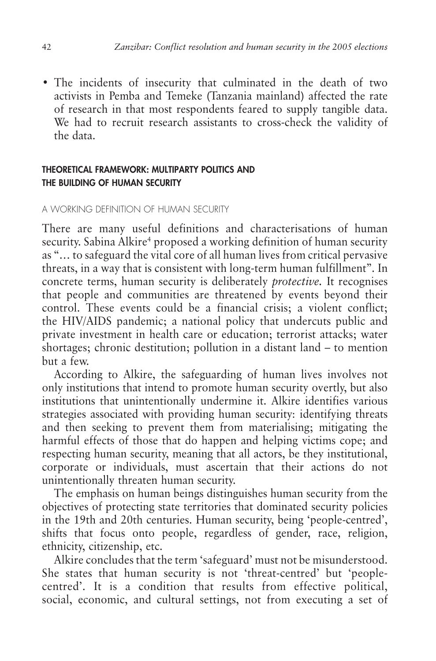• The incidents of insecurity that culminated in the death of two activists in Pemba and Temeke (Tanzania mainland) affected the rate of research in that most respondents feared to supply tangible data. We had to recruit research assistants to cross-check the validity of the data.

## **THEORETICAL FRAMEWORK: MULTIPARTY POLITICS AND THE BUILDING OF HUMAN SECURITY**

## A WORKING DEFINITION OF HUMAN SECURITY

There are many useful definitions and characterisations of human security. Sabina Alkire<sup>4</sup> proposed a working definition of human security as "… to safeguard the vital core of all human lives from critical pervasive threats, in a way that is consistent with long-term human fulfillment". In concrete terms, human security is deliberately *protective.* It recognises that people and communities are threatened by events beyond their control. These events could be a financial crisis; a violent conflict; the HIV/AIDS pandemic; a national policy that undercuts public and private investment in health care or education; terrorist attacks; water shortages; chronic destitution; pollution in a distant land – to mention but a few.

According to Alkire, the safeguarding of human lives involves not only institutions that intend to promote human security overtly, but also institutions that unintentionally undermine it. Alkire identifies various strategies associated with providing human security: identifying threats and then seeking to prevent them from materialising; mitigating the harmful effects of those that do happen and helping victims cope; and respecting human security, meaning that all actors, be they institutional, corporate or individuals, must ascertain that their actions do not unintentionally threaten human security.

The emphasis on human beings distinguishes human security from the objectives of protecting state territories that dominated security policies in the 19th and 20th centuries. Human security, being 'people-centred', shifts that focus onto people, regardless of gender, race, religion, ethnicity, citizenship, etc.

Alkire concludes that the term 'safeguard' must not be misunderstood. She states that human security is not 'threat-centred' but 'peoplecentred'. It is a condition that results from effective political, social, economic, and cultural settings, not from executing a set of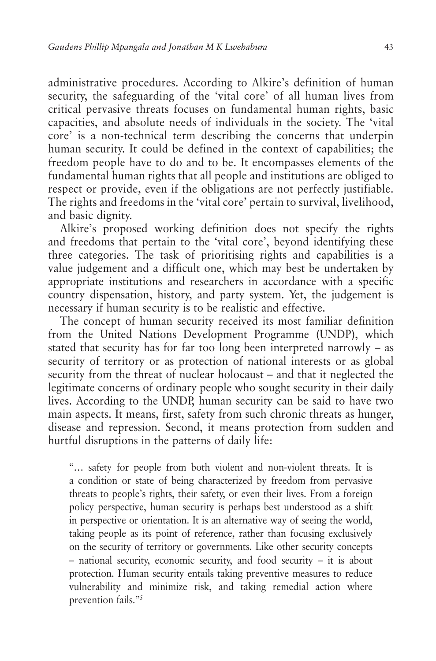administrative procedures. According to Alkire's definition of human security, the safeguarding of the 'vital core' of all human lives from critical pervasive threats focuses on fundamental human rights, basic capacities, and absolute needs of individuals in the society. The 'vital core' is a non-technical term describing the concerns that underpin human security. It could be defined in the context of capabilities; the freedom people have to do and to be. It encompasses elements of the fundamental human rights that all people and institutions are obliged to respect or provide, even if the obligations are not perfectly justifiable. The rights and freedoms in the 'vital core' pertain to survival, livelihood, and basic dignity.

Alkire's proposed working definition does not specify the rights and freedoms that pertain to the 'vital core', beyond identifying these three categories. The task of prioritising rights and capabilities is a value judgement and a difficult one, which may best be undertaken by appropriate institutions and researchers in accordance with a specific country dispensation, history, and party system. Yet, the judgement is necessary if human security is to be realistic and effective.

The concept of human security received its most familiar definition from the United Nations Development Programme (UNDP), which stated that security has for far too long been interpreted narrowly – as security of territory or as protection of national interests or as global security from the threat of nuclear holocaust – and that it neglected the legitimate concerns of ordinary people who sought security in their daily lives. According to the UNDP, human security can be said to have two main aspects. It means, first, safety from such chronic threats as hunger, disease and repression. Second, it means protection from sudden and hurtful disruptions in the patterns of daily life:

"… safety for people from both violent and non-violent threats. It is a condition or state of being characterized by freedom from pervasive threats to people's rights, their safety, or even their lives. From a foreign policy perspective, human security is perhaps best understood as a shift in perspective or orientation. It is an alternative way of seeing the world, taking people as its point of reference, rather than focusing exclusively on the security of territory or governments. Like other security concepts – national security, economic security, and food security – it is about protection. Human security entails taking preventive measures to reduce vulnerability and minimize risk, and taking remedial action where prevention fails."5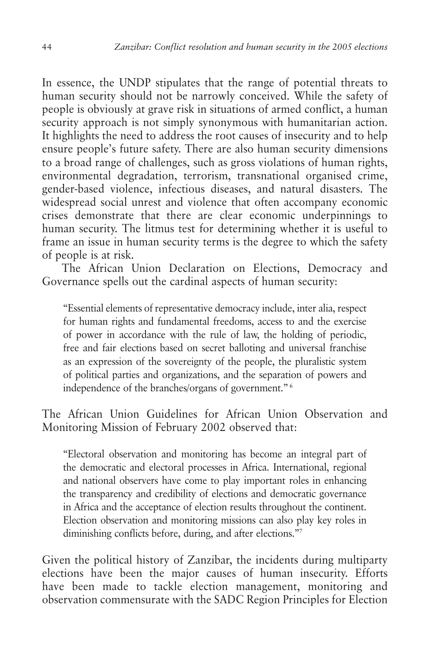In essence, the UNDP stipulates that the range of potential threats to human security should not be narrowly conceived. While the safety of people is obviously at grave risk in situations of armed conflict, a human security approach is not simply synonymous with humanitarian action. It highlights the need to address the root causes of insecurity and to help ensure people's future safety. There are also human security dimensions to a broad range of challenges, such as gross violations of human rights, environmental degradation, terrorism, transnational organised crime, gender-based violence, infectious diseases, and natural disasters. The widespread social unrest and violence that often accompany economic crises demonstrate that there are clear economic underpinnings to human security. The litmus test for determining whether it is useful to frame an issue in human security terms is the degree to which the safety of people is at risk.

 The African Union Declaration on Elections, Democracy and Governance spells out the cardinal aspects of human security:

"Essential elements of representative democracy include, inter alia, respect for human rights and fundamental freedoms, access to and the exercise of power in accordance with the rule of law, the holding of periodic, free and fair elections based on secret balloting and universal franchise as an expression of the sovereignty of the people, the pluralistic system of political parties and organizations, and the separation of powers and independence of the branches/organs of government." 6

The African Union Guidelines for African Union Observation and Monitoring Mission of February 2002 observed that:

"Electoral observation and monitoring has become an integral part of the democratic and electoral processes in Africa. International, regional and national observers have come to play important roles in enhancing the transparency and credibility of elections and democratic governance in Africa and the acceptance of election results throughout the continent. Election observation and monitoring missions can also play key roles in diminishing conflicts before, during, and after elections."7

Given the political history of Zanzibar, the incidents during multiparty elections have been the major causes of human insecurity. Efforts have been made to tackle election management, monitoring and observation commensurate with the SADC Region Principles for Election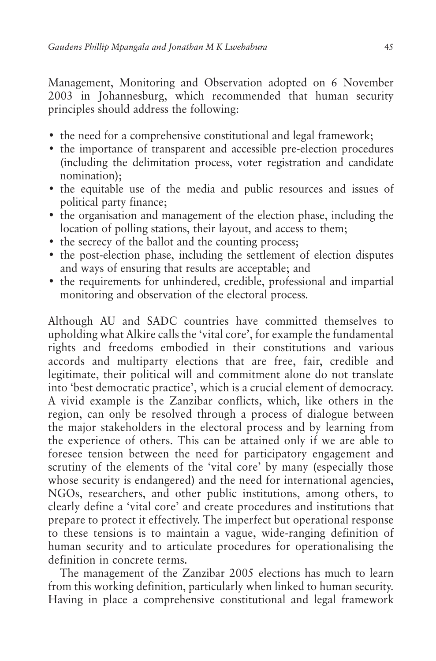Management, Monitoring and Observation adopted on 6 November 2003 in Johannesburg, which recommended that human security principles should address the following:

- the need for a comprehensive constitutional and legal framework;
- the importance of transparent and accessible pre-election procedures (including the delimitation process, voter registration and candidate nomination);
- the equitable use of the media and public resources and issues of political party finance;
- the organisation and management of the election phase, including the location of polling stations, their layout, and access to them;
- the secrecy of the ballot and the counting process;
- the post-election phase, including the settlement of election disputes and ways of ensuring that results are acceptable; and
- the requirements for unhindered, credible, professional and impartial monitoring and observation of the electoral process.

Although AU and SADC countries have committed themselves to upholding what Alkire calls the 'vital core', for example the fundamental rights and freedoms embodied in their constitutions and various accords and multiparty elections that are free, fair, credible and legitimate, their political will and commitment alone do not translate into 'best democratic practice', which is a crucial element of democracy. A vivid example is the Zanzibar conflicts, which, like others in the region, can only be resolved through a process of dialogue between the major stakeholders in the electoral process and by learning from the experience of others. This can be attained only if we are able to foresee tension between the need for participatory engagement and scrutiny of the elements of the 'vital core' by many (especially those whose security is endangered) and the need for international agencies, NGOs, researchers, and other public institutions, among others, to clearly define a 'vital core' and create procedures and institutions that prepare to protect it effectively. The imperfect but operational response to these tensions is to maintain a vague, wide-ranging definition of human security and to articulate procedures for operationalising the definition in concrete terms.

The management of the Zanzibar 2005 elections has much to learn from this working definition, particularly when linked to human security. Having in place a comprehensive constitutional and legal framework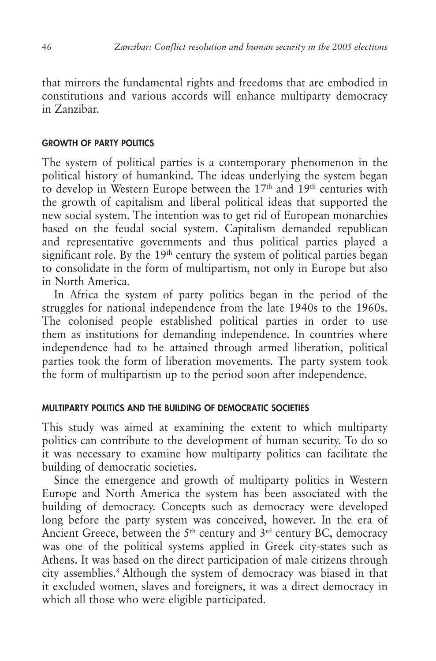that mirrors the fundamental rights and freedoms that are embodied in constitutions and various accords will enhance multiparty democracy in Zanzibar.

#### **GROWTH OF PARTY POLITICS**

The system of political parties is a contemporary phenomenon in the political history of humankind. The ideas underlying the system began to develop in Western Europe between the 17<sup>th</sup> and 19<sup>th</sup> centuries with the growth of capitalism and liberal political ideas that supported the new social system. The intention was to get rid of European monarchies based on the feudal social system. Capitalism demanded republican and representative governments and thus political parties played a significant role. By the 19<sup>th</sup> century the system of political parties began to consolidate in the form of multipartism, not only in Europe but also in North America.

In Africa the system of party politics began in the period of the struggles for national independence from the late 1940s to the 1960s. The colonised people established political parties in order to use them as institutions for demanding independence. In countries where independence had to be attained through armed liberation, political parties took the form of liberation movements. The party system took the form of multipartism up to the period soon after independence.

### **MULTIPARTY POLITICS AND THE BUILDING OF DEMOCRATIC SOCIETIES**

This study was aimed at examining the extent to which multiparty politics can contribute to the development of human security. To do so it was necessary to examine how multiparty politics can facilitate the building of democratic societies.

Since the emergence and growth of multiparty politics in Western Europe and North America the system has been associated with the building of democracy. Concepts such as democracy were developed long before the party system was conceived, however. In the era of Ancient Greece, between the 5<sup>th</sup> century and 3<sup>rd</sup> century BC, democracy was one of the political systems applied in Greek city-states such as Athens. It was based on the direct participation of male citizens through city assemblies.8 Although the system of democracy was biased in that it excluded women, slaves and foreigners, it was a direct democracy in which all those who were eligible participated.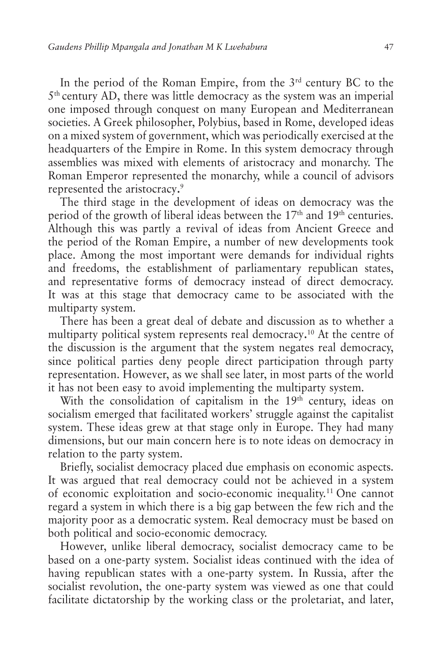In the period of the Roman Empire, from the  $3<sup>rd</sup>$  century BC to the 5th century AD, there was little democracy as the system was an imperial one imposed through conquest on many European and Mediterranean societies. A Greek philosopher, Polybius, based in Rome, developed ideas on a mixed system of government, which was periodically exercised at the headquarters of the Empire in Rome. In this system democracy through assemblies was mixed with elements of aristocracy and monarchy. The Roman Emperor represented the monarchy, while a council of advisors represented the aristocracy**.** 9

The third stage in the development of ideas on democracy was the period of the growth of liberal ideas between the  $17<sup>th</sup>$  and  $19<sup>th</sup>$  centuries. Although this was partly a revival of ideas from Ancient Greece and the period of the Roman Empire, a number of new developments took place. Among the most important were demands for individual rights and freedoms, the establishment of parliamentary republican states, and representative forms of democracy instead of direct democracy. It was at this stage that democracy came to be associated with the multiparty system.

There has been a great deal of debate and discussion as to whether a multiparty political system represents real democracy**.** <sup>10</sup> At the centre of the discussion is the argument that the system negates real democracy, since political parties deny people direct participation through party representation. However, as we shall see later, in most parts of the world it has not been easy to avoid implementing the multiparty system.

With the consolidation of capitalism in the 19<sup>th</sup> century, ideas on socialism emerged that facilitated workers' struggle against the capitalist system. These ideas grew at that stage only in Europe. They had many dimensions, but our main concern here is to note ideas on democracy in relation to the party system.

Briefly, socialist democracy placed due emphasis on economic aspects. It was argued that real democracy could not be achieved in a system of economic exploitation and socio-economic inequality.11 One cannot regard a system in which there is a big gap between the few rich and the majority poor as a democratic system. Real democracy must be based on both political and socio-economic democracy.

However, unlike liberal democracy, socialist democracy came to be based on a one-party system. Socialist ideas continued with the idea of having republican states with a one-party system. In Russia, after the socialist revolution, the one-party system was viewed as one that could facilitate dictatorship by the working class or the proletariat, and later,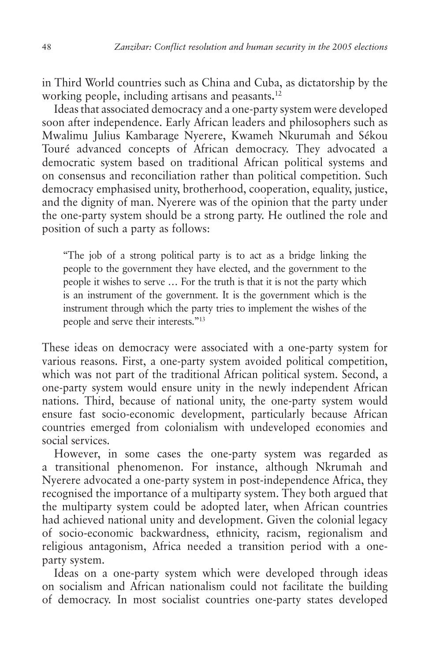in Third World countries such as China and Cuba, as dictatorship by the working people, including artisans and peasants**.** 12

Ideas that associated democracy and a one-party system were developed soon after independence. Early African leaders and philosophers such as Mwalimu Julius Kambarage Nyerere, Kwameh Nkurumah and Sékou Touré advanced concepts of African democracy. They advocated a democratic system based on traditional African political systems and on consensus and reconciliation rather than political competition. Such democracy emphasised unity, brotherhood, cooperation, equality, justice, and the dignity of man. Nyerere was of the opinion that the party under the one-party system should be a strong party. He outlined the role and position of such a party as follows:

"The job of a strong political party is to act as a bridge linking the people to the government they have elected, and the government to the people it wishes to serve … For the truth is that it is not the party which is an instrument of the government. It is the government which is the instrument through which the party tries to implement the wishes of the people and serve their interests."13

These ideas on democracy were associated with a one-party system for various reasons. First, a one-party system avoided political competition, which was not part of the traditional African political system. Second, a one-party system would ensure unity in the newly independent African nations. Third, because of national unity, the one-party system would ensure fast socio-economic development, particularly because African countries emerged from colonialism with undeveloped economies and social services.

However, in some cases the one-party system was regarded as a transitional phenomenon. For instance, although Nkrumah and Nyerere advocated a one-party system in post-independence Africa, they recognised the importance of a multiparty system. They both argued that the multiparty system could be adopted later, when African countries had achieved national unity and development. Given the colonial legacy of socio-economic backwardness, ethnicity, racism, regionalism and religious antagonism, Africa needed a transition period with a oneparty system.

Ideas on a one-party system which were developed through ideas on socialism and African nationalism could not facilitate the building of democracy. In most socialist countries one-party states developed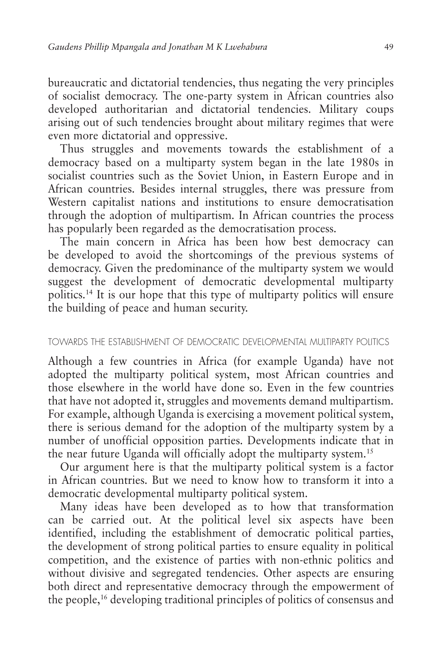bureaucratic and dictatorial tendencies, thus negating the very principles of socialist democracy. The one-party system in African countries also developed authoritarian and dictatorial tendencies. Military coups arising out of such tendencies brought about military regimes that were even more dictatorial and oppressive.

Thus struggles and movements towards the establishment of a democracy based on a multiparty system began in the late 1980s in socialist countries such as the Soviet Union, in Eastern Europe and in African countries. Besides internal struggles, there was pressure from Western capitalist nations and institutions to ensure democratisation through the adoption of multipartism. In African countries the process has popularly been regarded as the democratisation process.

The main concern in Africa has been how best democracy can be developed to avoid the shortcomings of the previous systems of democracy. Given the predominance of the multiparty system we would suggest the development of democratic developmental multiparty politics.14 It is our hope that this type of multiparty politics will ensure the building of peace and human security.

#### TOWARDS THE ESTABLISHMENT OF DEMOCRATIC DEVELOPMENTAL MULTIPARTY POLITICS

Although a few countries in Africa (for example Uganda) have not adopted the multiparty political system, most African countries and those elsewhere in the world have done so. Even in the few countries that have not adopted it, struggles and movements demand multipartism. For example, although Uganda is exercising a movement political system, there is serious demand for the adoption of the multiparty system by a number of unofficial opposition parties. Developments indicate that in the near future Uganda will officially adopt the multiparty system.<sup>15</sup>

Our argument here is that the multiparty political system is a factor in African countries. But we need to know how to transform it into a democratic developmental multiparty political system.

Many ideas have been developed as to how that transformation can be carried out. At the political level six aspects have been identified, including the establishment of democratic political parties, the development of strong political parties to ensure equality in political competition, and the existence of parties with non-ethnic politics and without divisive and segregated tendencies. Other aspects are ensuring both direct and representative democracy through the empowerment of the people,16 developing traditional principles of politics of consensus and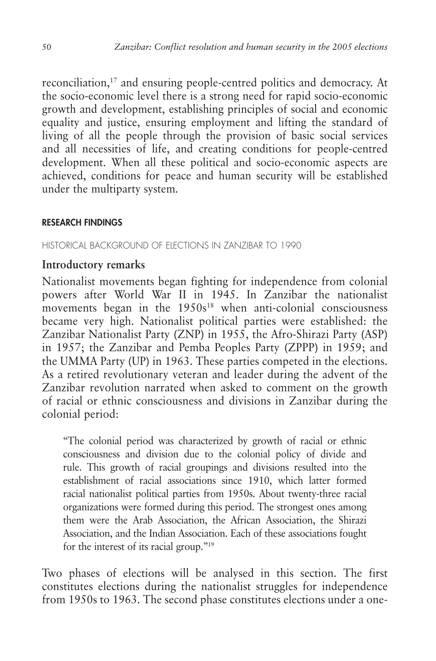reconciliation,<sup>17</sup> and ensuring people-centred politics and democracy. At the socio-economic level there is a strong need for rapid socio-economic growth and development, establishing principles of social and economic equality and justice, ensuring employment and lifting the standard of living of all the people through the provision of basic social services and all necessities of life, and creating conditions for people-centred development. When all these political and socio-economic aspects are achieved, conditions for peace and human security will be established under the multiparty system.

### **RESEARCH FINDINGS**

#### HISTORICAL BACKGROUND OF ELECTIONS IN ZANZIBAR TO 1990

## **Introductory remarks**

Nationalist movements began fighting for independence from colonial powers after World War II in 1945. In Zanzibar the nationalist movements began in the  $1950s^{18}$  when anti-colonial consciousness became very high. Nationalist political parties were established: the Zanzibar Nationalist Party (ZNP) in 1955, the Afro-Shirazi Party (ASP) in 1957; the Zanzibar and Pemba Peoples Party (ZPPP) in 1959; and the UMMA Party (UP) in 1963. These parties competed in the elections. As a retired revolutionary veteran and leader during the advent of the Zanzibar revolution narrated when asked to comment on the growth of racial or ethnic consciousness and divisions in Zanzibar during the colonial period:

"The colonial period was characterized by growth of racial or ethnic consciousness and division due to the colonial policy of divide and rule. This growth of racial groupings and divisions resulted into the establishment of racial associations since 1910, which latter formed racial nationalist political parties from 1950s. About twenty-three racial organizations were formed during this period. The strongest ones among them were the Arab Association, the African Association, the Shirazi Association, and the Indian Association. Each of these associations fought for the interest of its racial group."19

Two phases of elections will be analysed in this section. The first constitutes elections during the nationalist struggles for independence from 1950s to 1963. The second phase constitutes elections under a one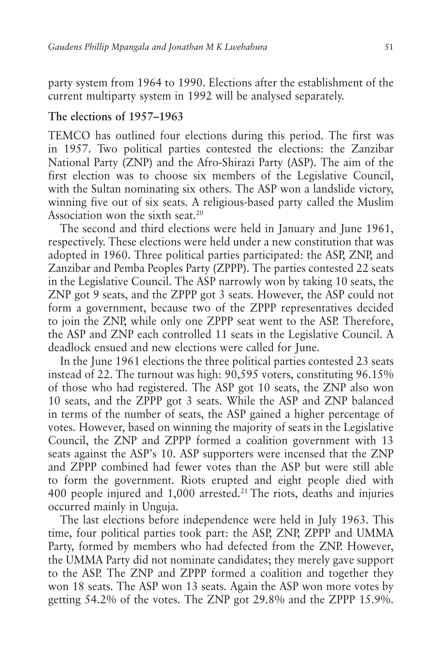party system from 1964 to 1990. Elections after the establishment of the current multiparty system in 1992 will be analysed separately.

## **The elections of 1957–1963**

TEMCO has outlined four elections during this period. The first was in 1957. Two political parties contested the elections: the Zanzibar National Party (ZNP) and the Afro-Shirazi Party (ASP). The aim of the first election was to choose six members of the Legislative Council, with the Sultan nominating six others. The ASP won a landslide victory, winning five out of six seats. A religious-based party called the Muslim Association won the sixth seat.<sup>20</sup>

The second and third elections were held in January and June 1961, respectively. These elections were held under a new constitution that was adopted in 1960. Three political parties participated: the ASP, ZNP, and Zanzibar and Pemba Peoples Party (ZPPP). The parties contested 22 seats in the Legislative Council. The ASP narrowly won by taking 10 seats, the ZNP got 9 seats, and the ZPPP got 3 seats. However, the ASP could not form a government, because two of the ZPPP representatives decided to join the ZNP, while only one ZPPP seat went to the ASP. Therefore, the ASP and ZNP each controlled 11 seats in the Legislative Council. A deadlock ensued and new elections were called for June.

In the June 1961 elections the three political parties contested 23 seats instead of 22. The turnout was high: 90,595 voters, constituting 96.15% of those who had registered. The ASP got 10 seats, the ZNP also won 10 seats, and the ZPPP got 3 seats. While the ASP and ZNP balanced in terms of the number of seats, the ASP gained a higher percentage of votes. However, based on winning the majority of seats in the Legislative Council, the ZNP and ZPPP formed a coalition government with 13 seats against the ASP's 10. ASP supporters were incensed that the ZNP and ZPPP combined had fewer votes than the ASP but were still able to form the government. Riots erupted and eight people died with 400 people injured and 1,000 arrested.<sup>21</sup> The riots, deaths and injuries occurred mainly in Unguja.

The last elections before independence were held in July 1963. This time, four political parties took part: the ASP, ZNP, ZPPP and UMMA Party, formed by members who had defected from the ZNP. However, the UMMA Party did not nominate candidates; they merely gave support to the ASP. The ZNP and ZPPP formed a coalition and together they won 18 seats. The ASP won 13 seats. Again the ASP won more votes by getting 54.2% of the votes. The ZNP got 29.8% and the ZPPP 15.9%.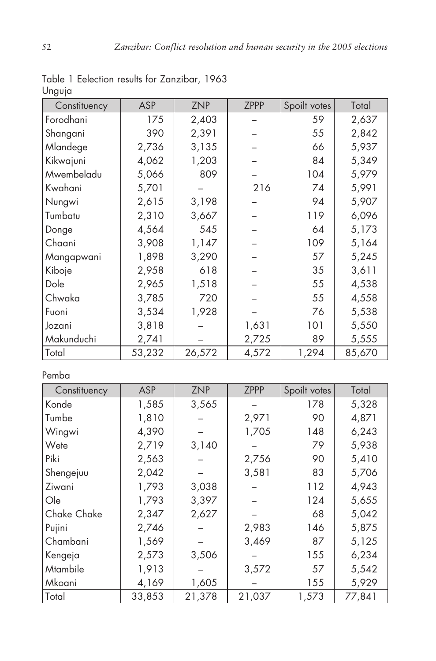| Constituency | ASP    | <b>ZNP</b> | <b>ZPPP</b> | Spoilt votes | Total  |
|--------------|--------|------------|-------------|--------------|--------|
| Forodhani    | 175    | 2,403      |             | 59           | 2,637  |
| Shangani     | 390    | 2,391      |             | 55           | 2,842  |
| Mlandege     | 2,736  | 3,135      |             | 66           | 5,937  |
| Kikwajuni    | 4,062  | 1,203      |             | 84           | 5,349  |
| Mwembeladu   | 5,066  | 809        |             | 104          | 5,979  |
| Kwahani      | 5,701  |            | 216         | 74           | 5,991  |
| Nungwi       | 2,615  | 3,198      |             | 94           | 5,907  |
| Tumbatu      | 2,310  | 3,667      |             | 119          | 6,096  |
| Donge        | 4,564  | 545        |             | 64           | 5,173  |
| Chaani       | 3,908  | 1,147      |             | 109          | 5,164  |
| Mangapwani   | 1,898  | 3,290      |             | 57           | 5,245  |
| Kiboje       | 2,958  | 618        |             | 35           | 3,611  |
| Dole         | 2,965  | 1,518      |             | 55           | 4,538  |
| Chwaka       | 3,785  | 720        |             | 55           | 4,558  |
| Fuoni        | 3,534  | 1,928      |             | 76           | 5,538  |
| Jozani       | 3,818  |            | 1,631       | 101          | 5,550  |
| Makunduchi   | 2,741  |            | 2,725       | 89           | 5,555  |
| Total        | 53,232 | 26,572     | 4,572       | 1,294        | 85,670 |

|        |  | Table 1 Eelection results for Zanzibar, 1963 |  |
|--------|--|----------------------------------------------|--|
| Unguja |  |                                              |  |

# Pemba

| Constituency    | ASP    | <b>ZNP</b> | <b>ZPPP</b> | Spoilt votes | Total  |
|-----------------|--------|------------|-------------|--------------|--------|
| Konde           | 1,585  | 3,565      |             | 178          | 5,328  |
| Tumbe           | 1,810  |            | 2,971       | 90           | 4,871  |
| Wingwi          | 4,390  |            | 1,705       | 148          | 6,243  |
| Wete            | 2,719  | 3,140      |             | 79           | 5,938  |
| Piki            | 2,563  |            | 2,756       | 90           | 5,410  |
| Shengejuu       | 2,042  |            | 3,581       | 83           | 5,706  |
| Ziwani          | 1,793  | 3,038      |             | 112          | 4,943  |
| Ole             | 1,793  | 3,397      |             | 124          | 5,655  |
| Chake Chake     | 2,347  | 2,627      |             | 68           | 5,042  |
| Pujini          | 2,746  |            | 2,983       | 146          | 5,875  |
| Chambani        | 1,569  |            | 3,469       | 87           | 5,125  |
| Kengeja         | 2,573  | 3,506      |             | 155          | 6,234  |
| <b>Mtambile</b> | 1,913  |            | 3,572       | 57           | 5,542  |
| Mkoani          | 4,169  | 1,605      |             | 155          | 5,929  |
| Total           | 33,853 | 21,378     | 21,037      | 1,573        | 77,841 |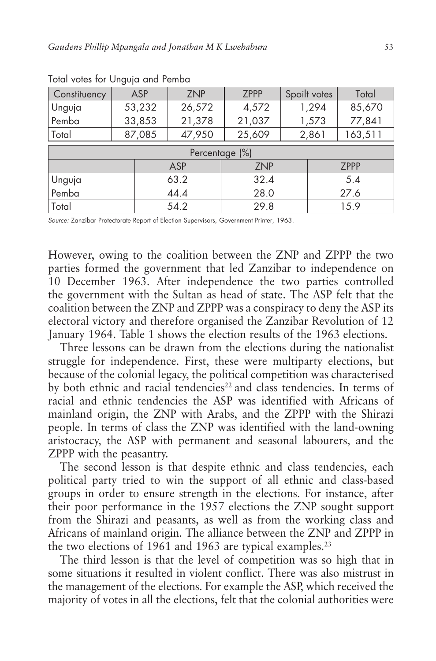| Constituency                     |      | <b>ASP</b> | <b>ZNP</b> | <b>ZPPP</b> |       | Spoilt votes | Total   |
|----------------------------------|------|------------|------------|-------------|-------|--------------|---------|
| Unguja                           |      | 53,232     | 26,572     | 4,572       |       | 1,294        | 85,670  |
| Pemba                            |      | 33,853     | 21,378     | 21,037      |       | 1,573        | 77,841  |
| Total                            |      | 87,085     | 47,950     | 25,609      | 2,861 |              | 163,511 |
|                                  |      |            |            |             |       |              |         |
| Percentage (%)                   |      |            |            |             |       |              |         |
| <b>ZNP</b><br><b>ZPPP</b><br>ASP |      |            |            |             |       |              |         |
| Unguja                           | 63.2 |            | 32.4       |             | 5.4   |              |         |
| Pemba                            |      | 44.4       |            | 28.0        |       | 27.6         |         |
| Total<br>54.2                    |      | 29.8       |            | 15.9        |       |              |         |

Total votes for Unguja and Pemba

*Source:* Zanzibar Protectorate Report of Election Supervisors, Government Printer, 1963.

However, owing to the coalition between the ZNP and ZPPP the two parties formed the government that led Zanzibar to independence on 10 December 1963. After independence the two parties controlled the government with the Sultan as head of state. The ASP felt that the coalition between the ZNP and ZPPP was a conspiracy to deny the ASP its electoral victory and therefore organised the Zanzibar Revolution of 12 January 1964. Table 1 shows the election results of the 1963 elections.

Three lessons can be drawn from the elections during the nationalist struggle for independence. First, these were multiparty elections, but because of the colonial legacy, the political competition was characterised by both ethnic and racial tendencies<sup>22</sup> and class tendencies. In terms of racial and ethnic tendencies the ASP was identified with Africans of mainland origin, the ZNP with Arabs, and the ZPPP with the Shirazi people. In terms of class the ZNP was identified with the land-owning aristocracy, the ASP with permanent and seasonal labourers, and the ZPPP with the peasantry.

The second lesson is that despite ethnic and class tendencies, each political party tried to win the support of all ethnic and class-based groups in order to ensure strength in the elections. For instance, after their poor performance in the 1957 elections the ZNP sought support from the Shirazi and peasants, as well as from the working class and Africans of mainland origin. The alliance between the ZNP and ZPPP in the two elections of 1961 and 1963 are typical examples.<sup>23</sup>

The third lesson is that the level of competition was so high that in some situations it resulted in violent conflict. There was also mistrust in the management of the elections. For example the ASP, which received the majority of votes in all the elections, felt that the colonial authorities were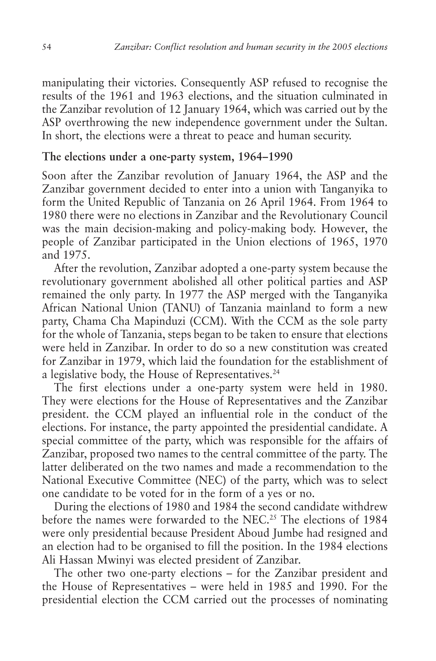manipulating their victories. Consequently ASP refused to recognise the results of the 1961 and 1963 elections, and the situation culminated in the Zanzibar revolution of 12 January 1964, which was carried out by the ASP overthrowing the new independence government under the Sultan. In short, the elections were a threat to peace and human security.

## **The elections under a one-party system, 1964–1990**

Soon after the Zanzibar revolution of January 1964, the ASP and the Zanzibar government decided to enter into a union with Tanganyika to form the United Republic of Tanzania on 26 April 1964. From 1964 to 1980 there were no elections in Zanzibar and the Revolutionary Council was the main decision-making and policy-making body. However, the people of Zanzibar participated in the Union elections of 1965, 1970 and 1975.

After the revolution, Zanzibar adopted a one-party system because the revolutionary government abolished all other political parties and ASP remained the only party. In 1977 the ASP merged with the Tanganyika African National Union (TANU) of Tanzania mainland to form a new party, Chama Cha Mapinduzi (CCM). With the CCM as the sole party for the whole of Tanzania, steps began to be taken to ensure that elections were held in Zanzibar. In order to do so a new constitution was created for Zanzibar in 1979, which laid the foundation for the establishment of a legislative body, the House of Representatives.24

The first elections under a one-party system were held in 1980. They were elections for the House of Representatives and the Zanzibar president. the CCM played an influential role in the conduct of the elections. For instance, the party appointed the presidential candidate. A special committee of the party, which was responsible for the affairs of Zanzibar, proposed two names to the central committee of the party. The latter deliberated on the two names and made a recommendation to the National Executive Committee (NEC) of the party, which was to select one candidate to be voted for in the form of a yes or no.

During the elections of 1980 and 1984 the second candidate withdrew before the names were forwarded to the NEC.<sup>25</sup> The elections of 1984 were only presidential because President Aboud Jumbe had resigned and an election had to be organised to fill the position. In the 1984 elections Ali Hassan Mwinyi was elected president of Zanzibar.

The other two one-party elections – for the Zanzibar president and the House of Representatives – were held in 1985 and 1990. For the presidential election the CCM carried out the processes of nominating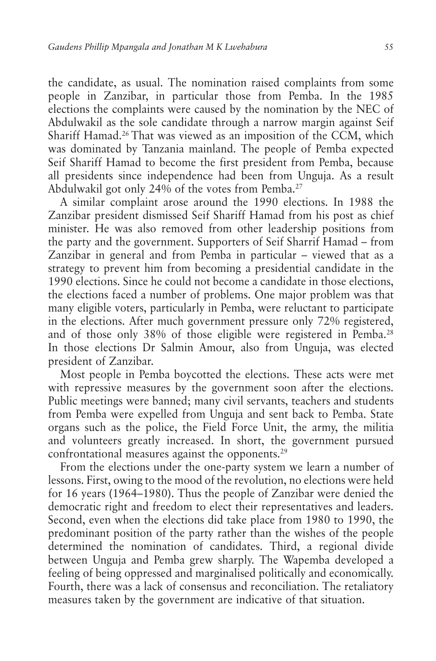the candidate, as usual. The nomination raised complaints from some people in Zanzibar, in particular those from Pemba. In the 1985 elections the complaints were caused by the nomination by the NEC of Abdulwakil as the sole candidate through a narrow margin against Seif Shariff Hamad.26 That was viewed as an imposition of the CCM, which was dominated by Tanzania mainland. The people of Pemba expected Seif Shariff Hamad to become the first president from Pemba, because all presidents since independence had been from Unguja. As a result Abdulwakil got only 24% of the votes from Pemba.27

A similar complaint arose around the 1990 elections. In 1988 the Zanzibar president dismissed Seif Shariff Hamad from his post as chief minister. He was also removed from other leadership positions from the party and the government. Supporters of Seif Sharrif Hamad – from Zanzibar in general and from Pemba in particular – viewed that as a strategy to prevent him from becoming a presidential candidate in the 1990 elections. Since he could not become a candidate in those elections, the elections faced a number of problems. One major problem was that many eligible voters, particularly in Pemba, were reluctant to participate in the elections. After much government pressure only 72% registered, and of those only 38% of those eligible were registered in Pemba.28 In those elections Dr Salmin Amour, also from Unguja, was elected president of Zanzibar.

Most people in Pemba boycotted the elections. These acts were met with repressive measures by the government soon after the elections. Public meetings were banned; many civil servants, teachers and students from Pemba were expelled from Unguja and sent back to Pemba. State organs such as the police, the Field Force Unit, the army, the militia and volunteers greatly increased. In short, the government pursued confrontational measures against the opponents.29

From the elections under the one-party system we learn a number of lessons. First, owing to the mood of the revolution, no elections were held for 16 years (1964–1980). Thus the people of Zanzibar were denied the democratic right and freedom to elect their representatives and leaders. Second, even when the elections did take place from 1980 to 1990, the predominant position of the party rather than the wishes of the people determined the nomination of candidates. Third, a regional divide between Unguja and Pemba grew sharply. The Wapemba developed a feeling of being oppressed and marginalised politically and economically. Fourth, there was a lack of consensus and reconciliation. The retaliatory measures taken by the government are indicative of that situation.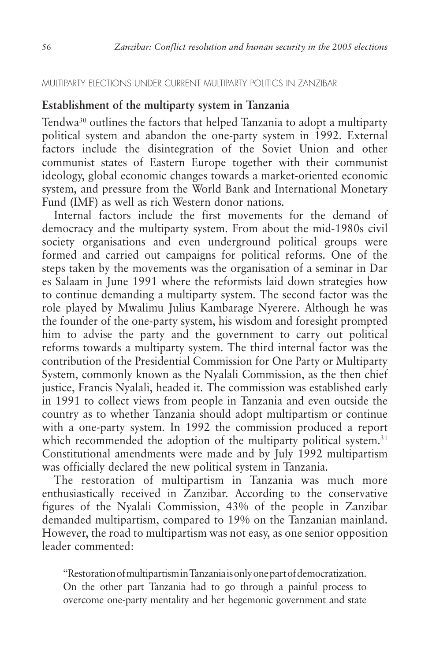#### MULTIPARTY ELECTIONS UNDER CURRENT MULTIPARTY POLITICS IN ZANZIBAR

## **Establishment of the multiparty system in Tanzania**

Tendwa30 outlines the factors that helped Tanzania to adopt a multiparty political system and abandon the one-party system in 1992. External factors include the disintegration of the Soviet Union and other communist states of Eastern Europe together with their communist ideology, global economic changes towards a market-oriented economic system, and pressure from the World Bank and International Monetary Fund (IMF) as well as rich Western donor nations.

Internal factors include the first movements for the demand of democracy and the multiparty system. From about the mid-1980s civil society organisations and even underground political groups were formed and carried out campaigns for political reforms. One of the steps taken by the movements was the organisation of a seminar in Dar es Salaam in June 1991 where the reformists laid down strategies how to continue demanding a multiparty system. The second factor was the role played by Mwalimu Julius Kambarage Nyerere. Although he was the founder of the one-party system, his wisdom and foresight prompted him to advise the party and the government to carry out political reforms towards a multiparty system. The third internal factor was the contribution of the Presidential Commission for One Party or Multiparty System, commonly known as the Nyalali Commission, as the then chief justice, Francis Nyalali, headed it. The commission was established early in 1991 to collect views from people in Tanzania and even outside the country as to whether Tanzania should adopt multipartism or continue with a one-party system. In 1992 the commission produced a report which recommended the adoption of the multiparty political system.<sup>31</sup> Constitutional amendments were made and by July 1992 multipartism was officially declared the new political system in Tanzania.

The restoration of multipartism in Tanzania was much more enthusiastically received in Zanzibar. According to the conservative figures of the Nyalali Commission, 43% of the people in Zanzibar demanded multipartism, compared to 19% on the Tanzanian mainland. However, the road to multipartism was not easy, as one senior opposition leader commented:

"Restoration of multipartism in Tanzania is only one part of democratization. On the other part Tanzania had to go through a painful process to overcome one-party mentality and her hegemonic government and state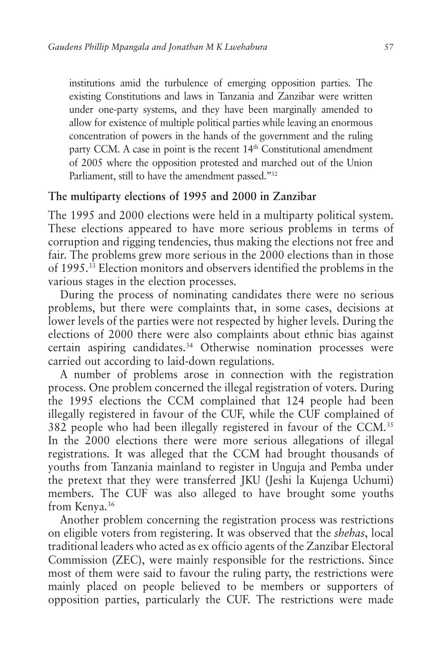institutions amid the turbulence of emerging opposition parties. The existing Constitutions and laws in Tanzania and Zanzibar were written under one-party systems, and they have been marginally amended to allow for existence of multiple political parties while leaving an enormous concentration of powers in the hands of the government and the ruling party CCM. A case in point is the recent 14<sup>th</sup> Constitutional amendment of 2005 where the opposition protested and marched out of the Union Parliament, still to have the amendment passed."32

## **The multiparty elections of 1995 and 2000 in Zanzibar**

The 1995 and 2000 elections were held in a multiparty political system. These elections appeared to have more serious problems in terms of corruption and rigging tendencies, thus making the elections not free and fair. The problems grew more serious in the 2000 elections than in those of 1995.33 Election monitors and observers identified the problems in the various stages in the election processes.

During the process of nominating candidates there were no serious problems, but there were complaints that, in some cases, decisions at lower levels of the parties were not respected by higher levels. During the elections of 2000 there were also complaints about ethnic bias against certain aspiring candidates.34 Otherwise nomination processes were carried out according to laid-down regulations.

A number of problems arose in connection with the registration process. One problem concerned the illegal registration of voters. During the 1995 elections the CCM complained that 124 people had been illegally registered in favour of the CUF, while the CUF complained of 382 people who had been illegally registered in favour of the CCM.<sup>35</sup> In the 2000 elections there were more serious allegations of illegal registrations. It was alleged that the CCM had brought thousands of youths from Tanzania mainland to register in Unguja and Pemba under the pretext that they were transferred JKU (Jeshi la Kujenga Uchumi) members. The CUF was also alleged to have brought some youths from Kenya.36

Another problem concerning the registration process was restrictions on eligible voters from registering. It was observed that the *shehas*, local traditional leaders who acted as ex officio agents of the Zanzibar Electoral Commission (ZEC), were mainly responsible for the restrictions. Since most of them were said to favour the ruling party, the restrictions were mainly placed on people believed to be members or supporters of opposition parties, particularly the CUF. The restrictions were made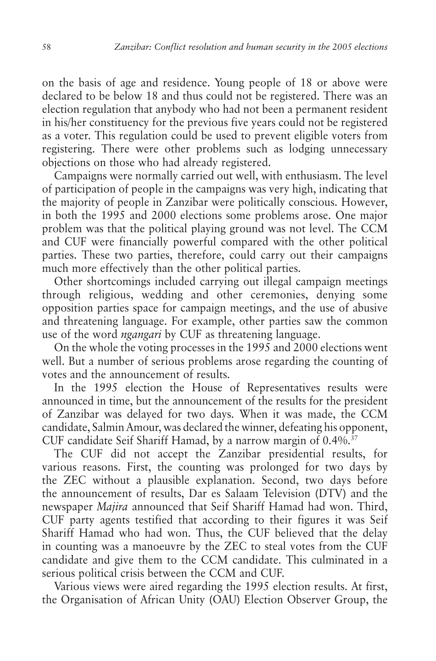on the basis of age and residence. Young people of 18 or above were declared to be below 18 and thus could not be registered. There was an election regulation that anybody who had not been a permanent resident in his/her constituency for the previous five years could not be registered as a voter. This regulation could be used to prevent eligible voters from registering. There were other problems such as lodging unnecessary objections on those who had already registered.

Campaigns were normally carried out well, with enthusiasm. The level of participation of people in the campaigns was very high, indicating that the majority of people in Zanzibar were politically conscious. However, in both the 1995 and 2000 elections some problems arose. One major problem was that the political playing ground was not level. The CCM and CUF were financially powerful compared with the other political parties. These two parties, therefore, could carry out their campaigns much more effectively than the other political parties.

Other shortcomings included carrying out illegal campaign meetings through religious, wedding and other ceremonies, denying some opposition parties space for campaign meetings, and the use of abusive and threatening language. For example, other parties saw the common use of the word *ngangari* by CUF as threatening language.

On the whole the voting processes in the 1995 and 2000 elections went well. But a number of serious problems arose regarding the counting of votes and the announcement of results.

In the 1995 election the House of Representatives results were announced in time, but the announcement of the results for the president of Zanzibar was delayed for two days. When it was made, the CCM candidate, Salmin Amour, was declared the winner, defeating his opponent, CUF candidate Seif Shariff Hamad, by a narrow margin of  $0.4\%$ <sup>37</sup>

The CUF did not accept the Zanzibar presidential results, for various reasons. First, the counting was prolonged for two days by the ZEC without a plausible explanation. Second, two days before the announcement of results, Dar es Salaam Television (DTV) and the newspaper *Majira* announced that Seif Shariff Hamad had won. Third, CUF party agents testified that according to their figures it was Seif Shariff Hamad who had won. Thus, the CUF believed that the delay in counting was a manoeuvre by the ZEC to steal votes from the CUF candidate and give them to the CCM candidate. This culminated in a serious political crisis between the CCM and CUF.

Various views were aired regarding the 1995 election results. At first, the Organisation of African Unity (OAU) Election Observer Group, the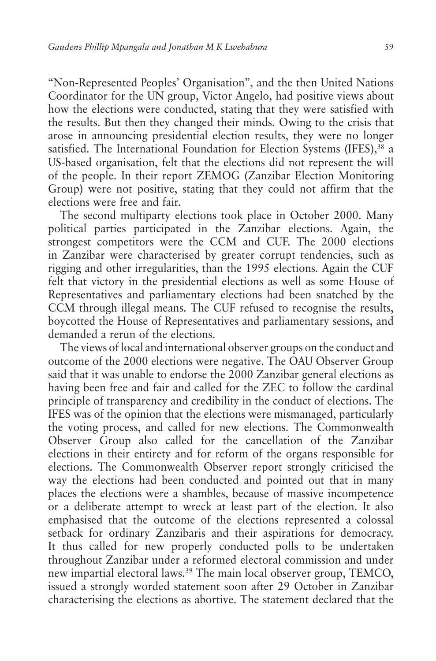"Non-Represented Peoples' Organisation", and the then United Nations Coordinator for the UN group, Victor Angelo, had positive views about how the elections were conducted, stating that they were satisfied with the results. But then they changed their minds. Owing to the crisis that arose in announcing presidential election results, they were no longer satisfied. The International Foundation for Election Systems (IFES),  $38$  a US-based organisation, felt that the elections did not represent the will of the people. In their report ZEMOG (Zanzibar Election Monitoring Group) were not positive, stating that they could not affirm that the elections were free and fair.

The second multiparty elections took place in October 2000. Many political parties participated in the Zanzibar elections. Again, the strongest competitors were the CCM and CUF. The 2000 elections in Zanzibar were characterised by greater corrupt tendencies, such as rigging and other irregularities, than the 1995 elections. Again the CUF felt that victory in the presidential elections as well as some House of Representatives and parliamentary elections had been snatched by the CCM through illegal means. The CUF refused to recognise the results, boycotted the House of Representatives and parliamentary sessions, and demanded a rerun of the elections.

The views of local and international observer groups on the conduct and outcome of the 2000 elections were negative. The OAU Observer Group said that it was unable to endorse the 2000 Zanzibar general elections as having been free and fair and called for the ZEC to follow the cardinal principle of transparency and credibility in the conduct of elections. The IFES was of the opinion that the elections were mismanaged, particularly the voting process, and called for new elections. The Commonwealth Observer Group also called for the cancellation of the Zanzibar elections in their entirety and for reform of the organs responsible for elections. The Commonwealth Observer report strongly criticised the way the elections had been conducted and pointed out that in many places the elections were a shambles, because of massive incompetence or a deliberate attempt to wreck at least part of the election. It also emphasised that the outcome of the elections represented a colossal setback for ordinary Zanzibaris and their aspirations for democracy. It thus called for new properly conducted polls to be undertaken throughout Zanzibar under a reformed electoral commission and under new impartial electoral laws.39 The main local observer group, TEMCO, issued a strongly worded statement soon after 29 October in Zanzibar characterising the elections as abortive. The statement declared that the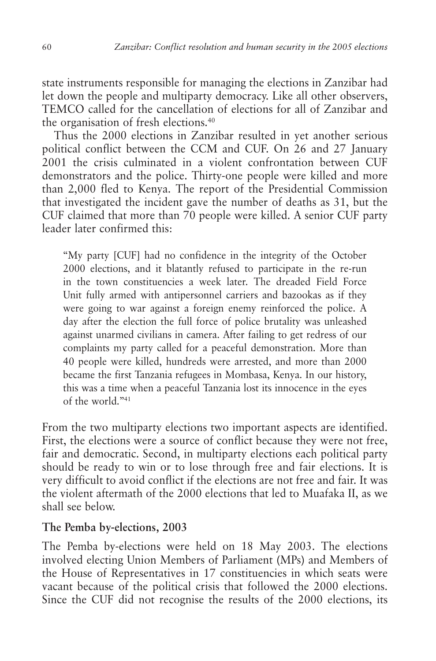state instruments responsible for managing the elections in Zanzibar had let down the people and multiparty democracy. Like all other observers, TEMCO called for the cancellation of elections for all of Zanzibar and the organisation of fresh elections.<sup>40</sup>

Thus the 2000 elections in Zanzibar resulted in yet another serious political conflict between the CCM and CUF. On 26 and 27 January 2001 the crisis culminated in a violent confrontation between CUF demonstrators and the police. Thirty-one people were killed and more than 2,000 fled to Kenya. The report of the Presidential Commission that investigated the incident gave the number of deaths as 31, but the CUF claimed that more than 70 people were killed. A senior CUF party leader later confirmed this:

"My party [CUF] had no confidence in the integrity of the October 2000 elections, and it blatantly refused to participate in the re-run in the town constituencies a week later. The dreaded Field Force Unit fully armed with antipersonnel carriers and bazookas as if they were going to war against a foreign enemy reinforced the police. A day after the election the full force of police brutality was unleashed against unarmed civilians in camera. After failing to get redress of our complaints my party called for a peaceful demonstration. More than 40 people were killed, hundreds were arrested, and more than 2000 became the first Tanzania refugees in Mombasa, Kenya. In our history, this was a time when a peaceful Tanzania lost its innocence in the eyes of the world."41

From the two multiparty elections two important aspects are identified. First, the elections were a source of conflict because they were not free, fair and democratic. Second, in multiparty elections each political party should be ready to win or to lose through free and fair elections. It is very difficult to avoid conflict if the elections are not free and fair. It was the violent aftermath of the 2000 elections that led to Muafaka II, as we shall see below.

## **The Pemba by-elections, 2003**

The Pemba by-elections were held on 18 May 2003. The elections involved electing Union Members of Parliament (MPs) and Members of the House of Representatives in 17 constituencies in which seats were vacant because of the political crisis that followed the 2000 elections. Since the CUF did not recognise the results of the 2000 elections, its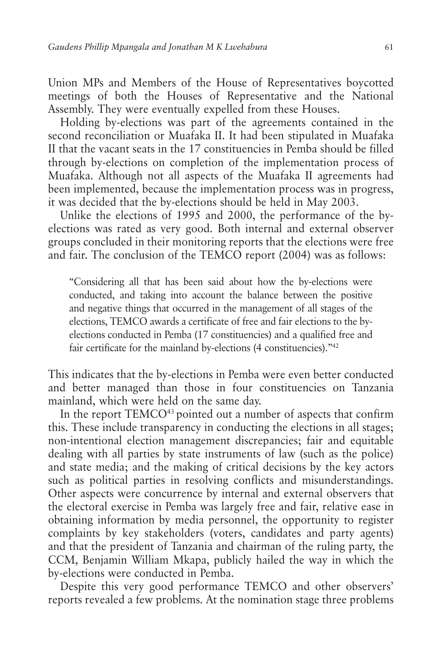Union MPs and Members of the House of Representatives boycotted meetings of both the Houses of Representative and the National Assembly. They were eventually expelled from these Houses.

Holding by-elections was part of the agreements contained in the second reconciliation or Muafaka II. It had been stipulated in Muafaka II that the vacant seats in the 17 constituencies in Pemba should be filled through by-elections on completion of the implementation process of Muafaka. Although not all aspects of the Muafaka II agreements had been implemented, because the implementation process was in progress, it was decided that the by-elections should be held in May 2003.

Unlike the elections of 1995 and 2000, the performance of the byelections was rated as very good. Both internal and external observer groups concluded in their monitoring reports that the elections were free and fair. The conclusion of the TEMCO report (2004) was as follows:

"Considering all that has been said about how the by-elections were conducted, and taking into account the balance between the positive and negative things that occurred in the management of all stages of the elections, TEMCO awards a certificate of free and fair elections to the byelections conducted in Pemba (17 constituencies) and a qualified free and fair certificate for the mainland by-elections (4 constituencies)."42

This indicates that the by-elections in Pemba were even better conducted and better managed than those in four constituencies on Tanzania mainland, which were held on the same day.

In the report TEMCO<sup>43</sup> pointed out a number of aspects that confirm this. These include transparency in conducting the elections in all stages; non-intentional election management discrepancies; fair and equitable dealing with all parties by state instruments of law (such as the police) and state media; and the making of critical decisions by the key actors such as political parties in resolving conflicts and misunderstandings. Other aspects were concurrence by internal and external observers that the electoral exercise in Pemba was largely free and fair, relative ease in obtaining information by media personnel, the opportunity to register complaints by key stakeholders (voters, candidates and party agents) and that the president of Tanzania and chairman of the ruling party, the CCM, Benjamin William Mkapa, publicly hailed the way in which the by-elections were conducted in Pemba.

Despite this very good performance TEMCO and other observers' reports revealed a few problems. At the nomination stage three problems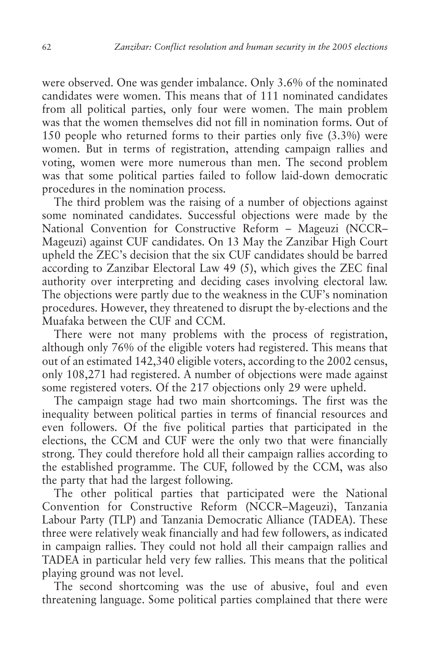were observed. One was gender imbalance. Only 3.6% of the nominated candidates were women. This means that of 111 nominated candidates from all political parties, only four were women. The main problem was that the women themselves did not fill in nomination forms. Out of 150 people who returned forms to their parties only five (3.3%) were women. But in terms of registration, attending campaign rallies and voting, women were more numerous than men. The second problem was that some political parties failed to follow laid-down democratic procedures in the nomination process.

The third problem was the raising of a number of objections against some nominated candidates. Successful objections were made by the National Convention for Constructive Reform – Mageuzi (NCCR– Mageuzi) against CUF candidates. On 13 May the Zanzibar High Court upheld the ZEC's decision that the six CUF candidates should be barred according to Zanzibar Electoral Law 49 (5), which gives the ZEC final authority over interpreting and deciding cases involving electoral law. The objections were partly due to the weakness in the CUF's nomination procedures. However, they threatened to disrupt the by-elections and the Muafaka between the CUF and CCM.

There were not many problems with the process of registration, although only 76% of the eligible voters had registered. This means that out of an estimated 142,340 eligible voters, according to the 2002 census, only 108,271 had registered. A number of objections were made against some registered voters. Of the 217 objections only 29 were upheld.

The campaign stage had two main shortcomings. The first was the inequality between political parties in terms of financial resources and even followers. Of the five political parties that participated in the elections, the CCM and CUF were the only two that were financially strong. They could therefore hold all their campaign rallies according to the established programme. The CUF, followed by the CCM, was also the party that had the largest following.

The other political parties that participated were the National Convention for Constructive Reform (NCCR–Mageuzi), Tanzania Labour Party (TLP) and Tanzania Democratic Alliance (TADEA). These three were relatively weak financially and had few followers, as indicated in campaign rallies. They could not hold all their campaign rallies and TADEA in particular held very few rallies. This means that the political playing ground was not level.

The second shortcoming was the use of abusive, foul and even threatening language. Some political parties complained that there were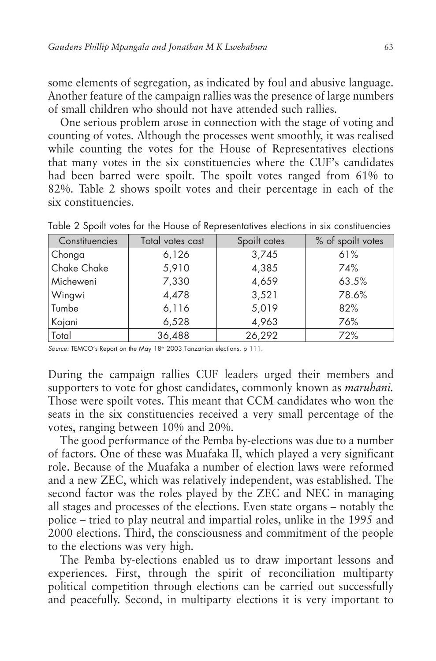some elements of segregation, as indicated by foul and abusive language. Another feature of the campaign rallies was the presence of large numbers of small children who should not have attended such rallies.

One serious problem arose in connection with the stage of voting and counting of votes. Although the processes went smoothly, it was realised while counting the votes for the House of Representatives elections that many votes in the six constituencies where the CUF's candidates had been barred were spoilt. The spoilt votes ranged from 61% to 82%. Table 2 shows spoilt votes and their percentage in each of the six constituencies.

| Constituencies | Total votes cast | Spoilt cotes | % of spoilt votes |
|----------------|------------------|--------------|-------------------|
| Chonga         | 6,126            | 3,745        | 61%               |
| Chake Chake    | 5,910            | 4,385        | 74%               |
| Micheweni      | 7,330            | 4,659        | 63.5%             |
| Wingwi         | 4,478            | 3,521        | 78.6%             |
| Tumbe          | 6,116            | 5,019        | 82%               |
| Kojani         | 6,528            | 4,963        | 76%               |
| Total          | 36,488           | 26,292       | 72%               |

Table 2 Spoilt votes for the House of Representatives elections in six constituencies

Source: TEMCO's Report on the May 18<sup>th</sup> 2003 Tanzanian elections, p 111.

During the campaign rallies CUF leaders urged their members and supporters to vote for ghost candidates, commonly known as *maruhani.* Those were spoilt votes. This meant that CCM candidates who won the seats in the six constituencies received a very small percentage of the votes, ranging between 10% and 20%.

The good performance of the Pemba by-elections was due to a number of factors. One of these was Muafaka II, which played a very significant role. Because of the Muafaka a number of election laws were reformed and a new ZEC, which was relatively independent, was established. The second factor was the roles played by the ZEC and NEC in managing all stages and processes of the elections. Even state organs – notably the police – tried to play neutral and impartial roles, unlike in the 1995 and 2000 elections. Third, the consciousness and commitment of the people to the elections was very high.

The Pemba by-elections enabled us to draw important lessons and experiences. First, through the spirit of reconciliation multiparty political competition through elections can be carried out successfully and peacefully. Second, in multiparty elections it is very important to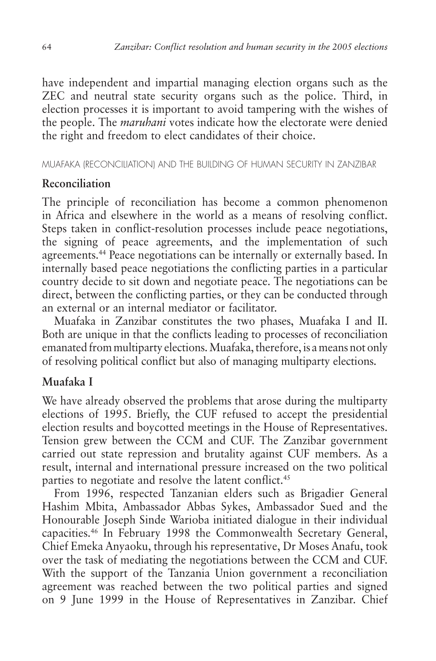have independent and impartial managing election organs such as the ZEC and neutral state security organs such as the police. Third, in election processes it is important to avoid tampering with the wishes of the people. The *maruhani* votes indicate how the electorate were denied the right and freedom to elect candidates of their choice.

#### MUAFAKA (RECONCILIATION) AND THE BUILDING OF HUMAN SECURITY IN ZANZIBAR

## **Reconciliation**

The principle of reconciliation has become a common phenomenon in Africa and elsewhere in the world as a means of resolving conflict. Steps taken in conflict-resolution processes include peace negotiations, the signing of peace agreements, and the implementation of such agreements.44 Peace negotiations can be internally or externally based. In internally based peace negotiations the conflicting parties in a particular country decide to sit down and negotiate peace. The negotiations can be direct, between the conflicting parties, or they can be conducted through an external or an internal mediator or facilitator.

Muafaka in Zanzibar constitutes the two phases, Muafaka I and II. Both are unique in that the conflicts leading to processes of reconciliation emanated from multiparty elections. Muafaka, therefore, is a means not only of resolving political conflict but also of managing multiparty elections.

## **Muafaka I**

We have already observed the problems that arose during the multiparty elections of 1995. Briefly, the CUF refused to accept the presidential election results and boycotted meetings in the House of Representatives. Tension grew between the CCM and CUF. The Zanzibar government carried out state repression and brutality against CUF members. As a result, internal and international pressure increased on the two political parties to negotiate and resolve the latent conflict.<sup>45</sup>

From 1996, respected Tanzanian elders such as Brigadier General Hashim Mbita, Ambassador Abbas Sykes, Ambassador Sued and the Honourable Joseph Sinde Warioba initiated dialogue in their individual capacities.46 In February 1998 the Commonwealth Secretary General, Chief Emeka Anyaoku, through his representative, Dr Moses Anafu, took over the task of mediating the negotiations between the CCM and CUF. With the support of the Tanzania Union government a reconciliation agreement was reached between the two political parties and signed on 9 June 1999 in the House of Representatives in Zanzibar. Chief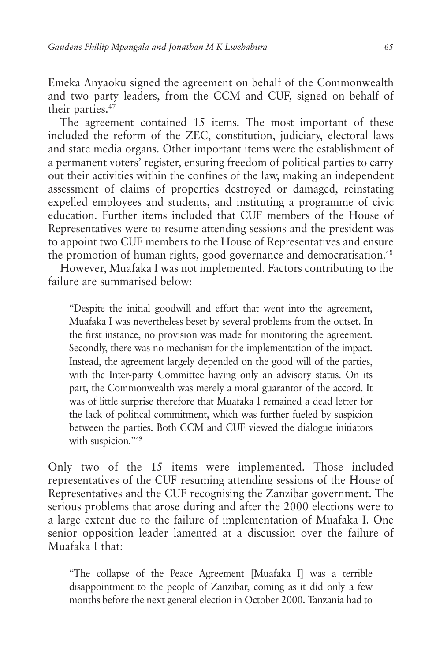Emeka Anyaoku signed the agreement on behalf of the Commonwealth and two party leaders, from the CCM and CUF, signed on behalf of their parties.<sup>47</sup>

The agreement contained 15 items. The most important of these included the reform of the ZEC, constitution, judiciary, electoral laws and state media organs. Other important items were the establishment of a permanent voters' register, ensuring freedom of political parties to carry out their activities within the confines of the law, making an independent assessment of claims of properties destroyed or damaged, reinstating expelled employees and students, and instituting a programme of civic education. Further items included that CUF members of the House of Representatives were to resume attending sessions and the president was to appoint two CUF members to the House of Representatives and ensure the promotion of human rights, good governance and democratisation.<sup>48</sup>

However, Muafaka I was not implemented. Factors contributing to the failure are summarised below:

"Despite the initial goodwill and effort that went into the agreement, Muafaka I was nevertheless beset by several problems from the outset. In the first instance, no provision was made for monitoring the agreement. Secondly, there was no mechanism for the implementation of the impact. Instead, the agreement largely depended on the good will of the parties, with the Inter-party Committee having only an advisory status. On its part, the Commonwealth was merely a moral guarantor of the accord. It was of little surprise therefore that Muafaka I remained a dead letter for the lack of political commitment, which was further fueled by suspicion between the parties. Both CCM and CUF viewed the dialogue initiators with suspicion."<sup>49</sup>

Only two of the 15 items were implemented. Those included representatives of the CUF resuming attending sessions of the House of Representatives and the CUF recognising the Zanzibar government. The serious problems that arose during and after the 2000 elections were to a large extent due to the failure of implementation of Muafaka I. One senior opposition leader lamented at a discussion over the failure of Muafaka I that:

"The collapse of the Peace Agreement [Muafaka I] was a terrible disappointment to the people of Zanzibar, coming as it did only a few months before the next general election in October 2000. Tanzania had to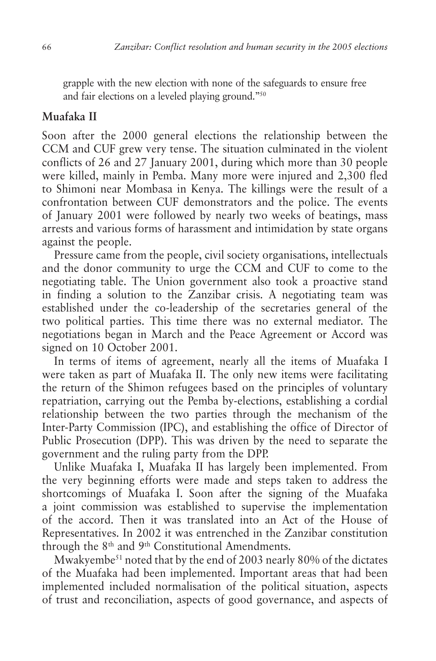grapple with the new election with none of the safeguards to ensure free and fair elections on a leveled playing ground."50

## **Muafaka II**

Soon after the 2000 general elections the relationship between the CCM and CUF grew very tense. The situation culminated in the violent conflicts of 26 and 27 January 2001, during which more than 30 people were killed, mainly in Pemba. Many more were injured and 2,300 fled to Shimoni near Mombasa in Kenya. The killings were the result of a confrontation between CUF demonstrators and the police. The events of January 2001 were followed by nearly two weeks of beatings, mass arrests and various forms of harassment and intimidation by state organs against the people.

Pressure came from the people, civil society organisations, intellectuals and the donor community to urge the CCM and CUF to come to the negotiating table. The Union government also took a proactive stand in finding a solution to the Zanzibar crisis. A negotiating team was established under the co-leadership of the secretaries general of the two political parties. This time there was no external mediator. The negotiations began in March and the Peace Agreement or Accord was signed on 10 October 2001.

In terms of items of agreement, nearly all the items of Muafaka I were taken as part of Muafaka II. The only new items were facilitating the return of the Shimon refugees based on the principles of voluntary repatriation, carrying out the Pemba by-elections, establishing a cordial relationship between the two parties through the mechanism of the Inter-Party Commission (IPC), and establishing the office of Director of Public Prosecution (DPP). This was driven by the need to separate the government and the ruling party from the DPP.

Unlike Muafaka I, Muafaka II has largely been implemented. From the very beginning efforts were made and steps taken to address the shortcomings of Muafaka I. Soon after the signing of the Muafaka a joint commission was established to supervise the implementation of the accord. Then it was translated into an Act of the House of Representatives. In 2002 it was entrenched in the Zanzibar constitution through the 8th and 9th Constitutional Amendments.

Mwakyembe<sup>51</sup> noted that by the end of 2003 nearly 80% of the dictates of the Muafaka had been implemented. Important areas that had been implemented included normalisation of the political situation, aspects of trust and reconciliation, aspects of good governance, and aspects of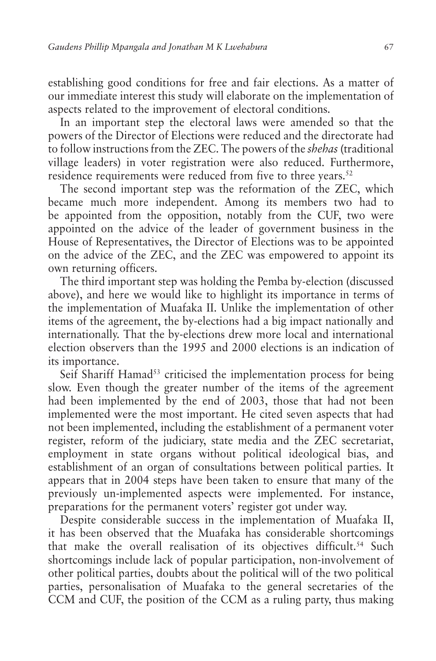establishing good conditions for free and fair elections. As a matter of our immediate interest this study will elaborate on the implementation of aspects related to the improvement of electoral conditions.

In an important step the electoral laws were amended so that the powers of the Director of Elections were reduced and the directorate had to follow instructions from the ZEC. The powers of the *shehas* (traditional village leaders) in voter registration were also reduced. Furthermore, residence requirements were reduced from five to three years.<sup>52</sup>

The second important step was the reformation of the ZEC, which became much more independent. Among its members two had to be appointed from the opposition, notably from the CUF, two were appointed on the advice of the leader of government business in the House of Representatives, the Director of Elections was to be appointed on the advice of the ZEC, and the ZEC was empowered to appoint its own returning officers.

The third important step was holding the Pemba by-election (discussed above), and here we would like to highlight its importance in terms of the implementation of Muafaka II. Unlike the implementation of other items of the agreement, the by-elections had a big impact nationally and internationally. That the by-elections drew more local and international election observers than the 1995 and 2000 elections is an indication of its importance.

Seif Shariff Hamad<sup>53</sup> criticised the implementation process for being slow. Even though the greater number of the items of the agreement had been implemented by the end of 2003, those that had not been implemented were the most important. He cited seven aspects that had not been implemented, including the establishment of a permanent voter register, reform of the judiciary, state media and the ZEC secretariat, employment in state organs without political ideological bias, and establishment of an organ of consultations between political parties. It appears that in 2004 steps have been taken to ensure that many of the previously un-implemented aspects were implemented. For instance, preparations for the permanent voters' register got under way.

Despite considerable success in the implementation of Muafaka II, it has been observed that the Muafaka has considerable shortcomings that make the overall realisation of its objectives difficult.<sup>54</sup> Such shortcomings include lack of popular participation, non-involvement of other political parties, doubts about the political will of the two political parties, personalisation of Muafaka to the general secretaries of the CCM and CUF, the position of the CCM as a ruling party, thus making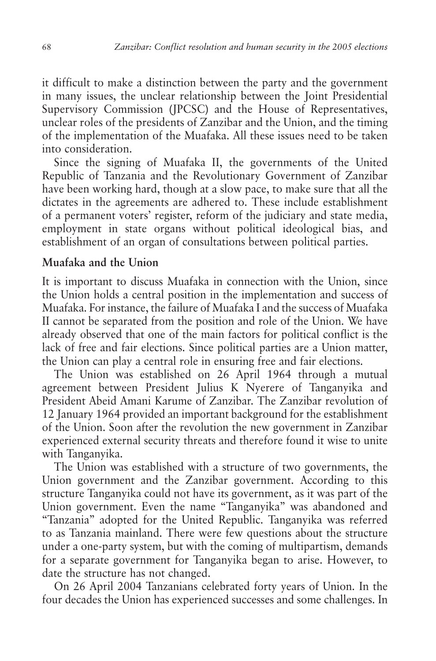it difficult to make a distinction between the party and the government in many issues, the unclear relationship between the Joint Presidential Supervisory Commission (JPCSC) and the House of Representatives, unclear roles of the presidents of Zanzibar and the Union, and the timing of the implementation of the Muafaka. All these issues need to be taken into consideration.

Since the signing of Muafaka II, the governments of the United Republic of Tanzania and the Revolutionary Government of Zanzibar have been working hard, though at a slow pace, to make sure that all the dictates in the agreements are adhered to. These include establishment of a permanent voters' register, reform of the judiciary and state media, employment in state organs without political ideological bias, and establishment of an organ of consultations between political parties.

## **Muafaka and the Union**

It is important to discuss Muafaka in connection with the Union, since the Union holds a central position in the implementation and success of Muafaka. For instance, the failure of Muafaka I and the success of Muafaka II cannot be separated from the position and role of the Union. We have already observed that one of the main factors for political conflict is the lack of free and fair elections. Since political parties are a Union matter, the Union can play a central role in ensuring free and fair elections.

The Union was established on 26 April 1964 through a mutual agreement between President Julius K Nyerere of Tanganyika and President Abeid Amani Karume of Zanzibar. The Zanzibar revolution of 12 January 1964 provided an important background for the establishment of the Union. Soon after the revolution the new government in Zanzibar experienced external security threats and therefore found it wise to unite with Tanganyika.

The Union was established with a structure of two governments, the Union government and the Zanzibar government. According to this structure Tanganyika could not have its government, as it was part of the Union government. Even the name "Tanganyika" was abandoned and "Tanzania" adopted for the United Republic. Tanganyika was referred to as Tanzania mainland. There were few questions about the structure under a one-party system, but with the coming of multipartism, demands for a separate government for Tanganyika began to arise. However, to date the structure has not changed.

On 26 April 2004 Tanzanians celebrated forty years of Union. In the four decades the Union has experienced successes and some challenges. In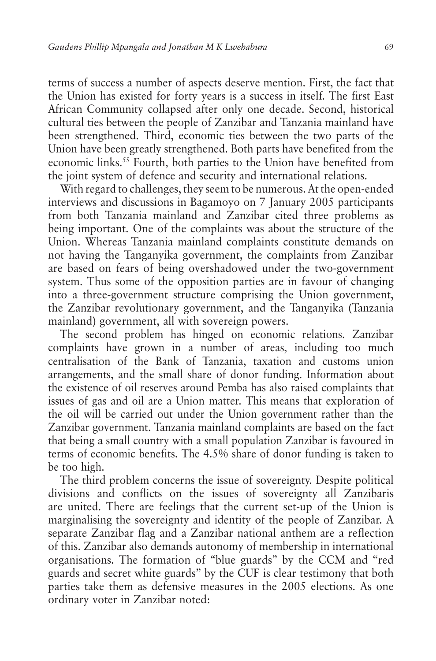terms of success a number of aspects deserve mention. First, the fact that the Union has existed for forty years is a success in itself. The first East African Community collapsed after only one decade. Second, historical cultural ties between the people of Zanzibar and Tanzania mainland have been strengthened. Third, economic ties between the two parts of the Union have been greatly strengthened. Both parts have benefited from the economic links.55 Fourth, both parties to the Union have benefited from the joint system of defence and security and international relations.

With regard to challenges, they seem to be numerous. At the open-ended interviews and discussions in Bagamoyo on 7 January 2005 participants from both Tanzania mainland and Zanzibar cited three problems as being important. One of the complaints was about the structure of the Union. Whereas Tanzania mainland complaints constitute demands on not having the Tanganyika government, the complaints from Zanzibar are based on fears of being overshadowed under the two-government system. Thus some of the opposition parties are in favour of changing into a three-government structure comprising the Union government, the Zanzibar revolutionary government, and the Tanganyika (Tanzania mainland) government, all with sovereign powers.

The second problem has hinged on economic relations. Zanzibar complaints have grown in a number of areas, including too much centralisation of the Bank of Tanzania, taxation and customs union arrangements, and the small share of donor funding. Information about the existence of oil reserves around Pemba has also raised complaints that issues of gas and oil are a Union matter. This means that exploration of the oil will be carried out under the Union government rather than the Zanzibar government. Tanzania mainland complaints are based on the fact that being a small country with a small population Zanzibar is favoured in terms of economic benefits. The 4.5% share of donor funding is taken to be too high.

The third problem concerns the issue of sovereignty. Despite political divisions and conflicts on the issues of sovereignty all Zanzibaris are united. There are feelings that the current set-up of the Union is marginalising the sovereignty and identity of the people of Zanzibar. A separate Zanzibar flag and a Zanzibar national anthem are a reflection of this. Zanzibar also demands autonomy of membership in international organisations. The formation of "blue guards" by the CCM and "red guards and secret white guards" by the CUF is clear testimony that both parties take them as defensive measures in the 2005 elections. As one ordinary voter in Zanzibar noted: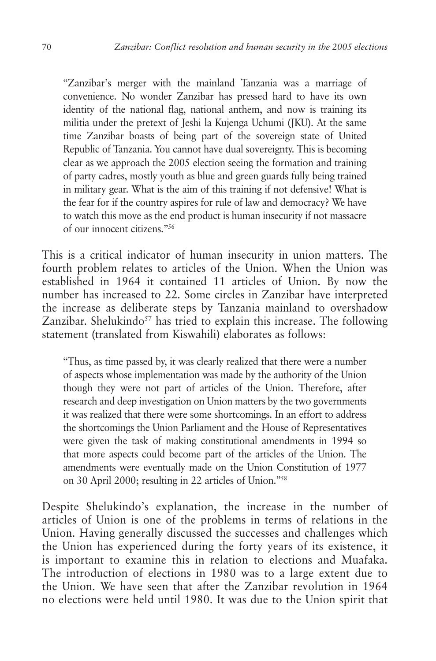"Zanzibar's merger with the mainland Tanzania was a marriage of convenience. No wonder Zanzibar has pressed hard to have its own identity of the national flag, national anthem, and now is training its militia under the pretext of Jeshi la Kujenga Uchumi (JKU). At the same time Zanzibar boasts of being part of the sovereign state of United Republic of Tanzania. You cannot have dual sovereignty. This is becoming clear as we approach the 2005 election seeing the formation and training of party cadres, mostly youth as blue and green guards fully being trained in military gear. What is the aim of this training if not defensive! What is the fear for if the country aspires for rule of law and democracy? We have to watch this move as the end product is human insecurity if not massacre of our innocent citizens."56

This is a critical indicator of human insecurity in union matters. The fourth problem relates to articles of the Union. When the Union was established in 1964 it contained 11 articles of Union. By now the number has increased to 22. Some circles in Zanzibar have interpreted the increase as deliberate steps by Tanzania mainland to overshadow Zanzibar. Shelukindo<sup>57</sup> has tried to explain this increase. The following statement (translated from Kiswahili) elaborates as follows:

"Thus, as time passed by, it was clearly realized that there were a number of aspects whose implementation was made by the authority of the Union though they were not part of articles of the Union. Therefore, after research and deep investigation on Union matters by the two governments it was realized that there were some shortcomings. In an effort to address the shortcomings the Union Parliament and the House of Representatives were given the task of making constitutional amendments in 1994 so that more aspects could become part of the articles of the Union. The amendments were eventually made on the Union Constitution of 1977 on 30 April 2000; resulting in 22 articles of Union."58

Despite Shelukindo's explanation, the increase in the number of articles of Union is one of the problems in terms of relations in the Union. Having generally discussed the successes and challenges which the Union has experienced during the forty years of its existence, it is important to examine this in relation to elections and Muafaka. The introduction of elections in 1980 was to a large extent due to the Union. We have seen that after the Zanzibar revolution in 1964 no elections were held until 1980. It was due to the Union spirit that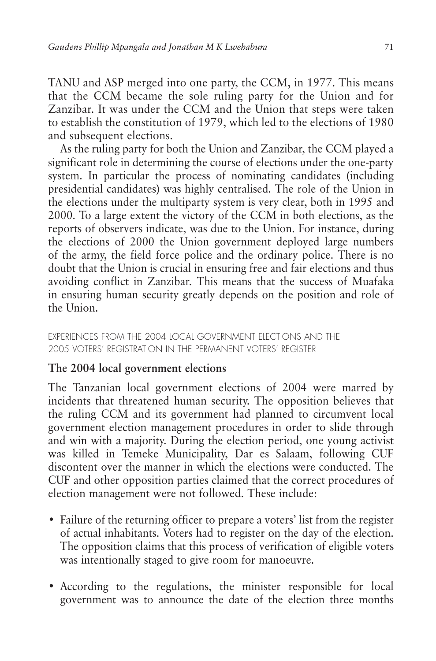TANU and ASP merged into one party, the CCM, in 1977. This means that the CCM became the sole ruling party for the Union and for Zanzibar. It was under the CCM and the Union that steps were taken to establish the constitution of 1979, which led to the elections of 1980 and subsequent elections.

As the ruling party for both the Union and Zanzibar, the CCM played a significant role in determining the course of elections under the one-party system. In particular the process of nominating candidates (including presidential candidates) was highly centralised. The role of the Union in the elections under the multiparty system is very clear, both in 1995 and 2000. To a large extent the victory of the CCM in both elections, as the reports of observers indicate, was due to the Union. For instance, during the elections of 2000 the Union government deployed large numbers of the army, the field force police and the ordinary police. There is no doubt that the Union is crucial in ensuring free and fair elections and thus avoiding conflict in Zanzibar. This means that the success of Muafaka in ensuring human security greatly depends on the position and role of the Union.

EXPERIENCES FROM THE 2004 LOCAL GOVERNMENT ELECTIONS AND THE 2005 VOTERS' REGISTRATION IN THE PERMANENT VOTERS' REGISTER

## **The 2004 local government elections**

The Tanzanian local government elections of 2004 were marred by incidents that threatened human security. The opposition believes that the ruling CCM and its government had planned to circumvent local government election management procedures in order to slide through and win with a majority. During the election period, one young activist was killed in Temeke Municipality, Dar es Salaam, following CUF discontent over the manner in which the elections were conducted. The CUF and other opposition parties claimed that the correct procedures of election management were not followed. These include:

- Failure of the returning officer to prepare a voters' list from the register of actual inhabitants. Voters had to register on the day of the election. The opposition claims that this process of verification of eligible voters was intentionally staged to give room for manoeuvre.
- According to the regulations, the minister responsible for local government was to announce the date of the election three months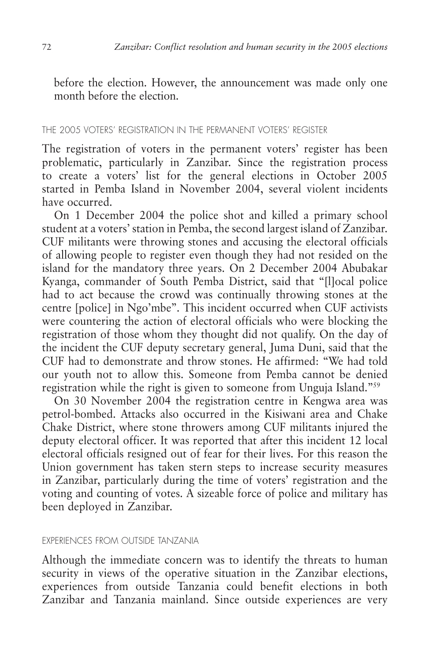before the election. However, the announcement was made only one month before the election.

#### THE 2005 VOTERS' REGISTRATION IN THE PERMANENT VOTERS' REGISTER

The registration of voters in the permanent voters' register has been problematic, particularly in Zanzibar. Since the registration process to create a voters' list for the general elections in October 2005 started in Pemba Island in November 2004, several violent incidents have occurred.

On 1 December 2004 the police shot and killed a primary school student at a voters' station in Pemba, the second largest island of Zanzibar. CUF militants were throwing stones and accusing the electoral officials of allowing people to register even though they had not resided on the island for the mandatory three years. On 2 December 2004 Abubakar Kyanga, commander of South Pemba District, said that "[l]ocal police had to act because the crowd was continually throwing stones at the centre [police] in Ngo'mbe". This incident occurred when CUF activists were countering the action of electoral officials who were blocking the registration of those whom they thought did not qualify. On the day of the incident the CUF deputy secretary general, Juma Duni, said that the CUF had to demonstrate and throw stones. He affirmed: "We had told our youth not to allow this. Someone from Pemba cannot be denied registration while the right is given to someone from Unguja Island."59

On 30 November 2004 the registration centre in Kengwa area was petrol-bombed. Attacks also occurred in the Kisiwani area and Chake Chake District, where stone throwers among CUF militants injured the deputy electoral officer. It was reported that after this incident 12 local electoral officials resigned out of fear for their lives. For this reason the Union government has taken stern steps to increase security measures in Zanzibar, particularly during the time of voters' registration and the voting and counting of votes. A sizeable force of police and military has been deployed in Zanzibar.

#### EXPERIENCES FROM OUTSIDE TANZANIA

Although the immediate concern was to identify the threats to human security in views of the operative situation in the Zanzibar elections, experiences from outside Tanzania could benefit elections in both Zanzibar and Tanzania mainland. Since outside experiences are very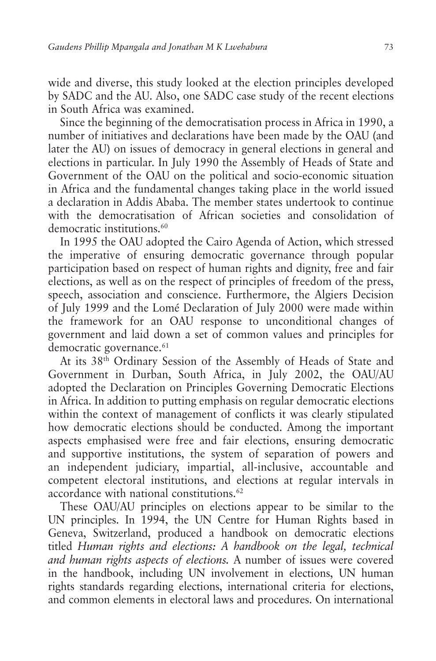wide and diverse, this study looked at the election principles developed by SADC and the AU. Also, one SADC case study of the recent elections in South Africa was examined.

Since the beginning of the democratisation process in Africa in 1990, a number of initiatives and declarations have been made by the OAU (and later the AU) on issues of democracy in general elections in general and elections in particular. In July 1990 the Assembly of Heads of State and Government of the OAU on the political and socio-economic situation in Africa and the fundamental changes taking place in the world issued a declaration in Addis Ababa. The member states undertook to continue with the democratisation of African societies and consolidation of democratic institutions.<sup>60</sup>

In 1995 the OAU adopted the Cairo Agenda of Action, which stressed the imperative of ensuring democratic governance through popular participation based on respect of human rights and dignity, free and fair elections, as well as on the respect of principles of freedom of the press, speech, association and conscience. Furthermore, the Algiers Decision of July 1999 and the Lomé Declaration of July 2000 were made within the framework for an OAU response to unconditional changes of government and laid down a set of common values and principles for democratic governance.<sup>61</sup>

At its 38th Ordinary Session of the Assembly of Heads of State and Government in Durban, South Africa, in July 2002, the OAU/AU adopted the Declaration on Principles Governing Democratic Elections in Africa. In addition to putting emphasis on regular democratic elections within the context of management of conflicts it was clearly stipulated how democratic elections should be conducted. Among the important aspects emphasised were free and fair elections, ensuring democratic and supportive institutions, the system of separation of powers and an independent judiciary, impartial, all-inclusive, accountable and competent electoral institutions, and elections at regular intervals in accordance with national constitutions.62

These OAU/AU principles on elections appear to be similar to the UN principles. In 1994, the UN Centre for Human Rights based in Geneva, Switzerland, produced a handbook on democratic elections titled *Human rights and elections: A handbook on the legal, technical and human rights aspects of elections.* A number of issues were covered in the handbook, including UN involvement in elections, UN human rights standards regarding elections, international criteria for elections, and common elements in electoral laws and procedures. On international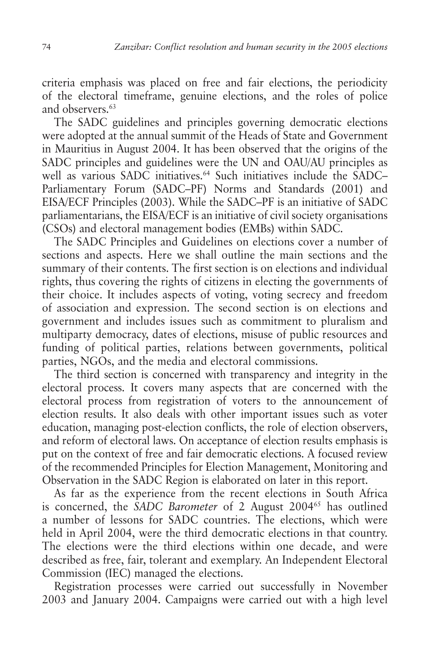criteria emphasis was placed on free and fair elections, the periodicity of the electoral timeframe, genuine elections, and the roles of police and observers<sup>63</sup>

The SADC guidelines and principles governing democratic elections were adopted at the annual summit of the Heads of State and Government in Mauritius in August 2004. It has been observed that the origins of the SADC principles and guidelines were the UN and OAU/AU principles as well as various SADC initiatives.<sup>64</sup> Such initiatives include the SADC– Parliamentary Forum (SADC–PF) Norms and Standards (2001) and EISA/ECF Principles (2003). While the SADC–PF is an initiative of SADC parliamentarians, the EISA/ECF is an initiative of civil society organisations (CSOs) and electoral management bodies (EMBs) within SADC.

The SADC Principles and Guidelines on elections cover a number of sections and aspects. Here we shall outline the main sections and the summary of their contents. The first section is on elections and individual rights, thus covering the rights of citizens in electing the governments of their choice. It includes aspects of voting, voting secrecy and freedom of association and expression. The second section is on elections and government and includes issues such as commitment to pluralism and multiparty democracy, dates of elections, misuse of public resources and funding of political parties, relations between governments, political parties, NGOs, and the media and electoral commissions.

The third section is concerned with transparency and integrity in the electoral process. It covers many aspects that are concerned with the electoral process from registration of voters to the announcement of election results. It also deals with other important issues such as voter education, managing post-election conflicts, the role of election observers, and reform of electoral laws. On acceptance of election results emphasis is put on the context of free and fair democratic elections. A focused review of the recommended Principles for Election Management, Monitoring and Observation in the SADC Region is elaborated on later in this report.

As far as the experience from the recent elections in South Africa is concerned, the *SADC Barometer* of 2 August 2004<sup>65</sup> has outlined a number of lessons for SADC countries. The elections, which were held in April 2004, were the third democratic elections in that country. The elections were the third elections within one decade, and were described as free, fair, tolerant and exemplary. An Independent Electoral Commission (IEC) managed the elections.

Registration processes were carried out successfully in November 2003 and January 2004. Campaigns were carried out with a high level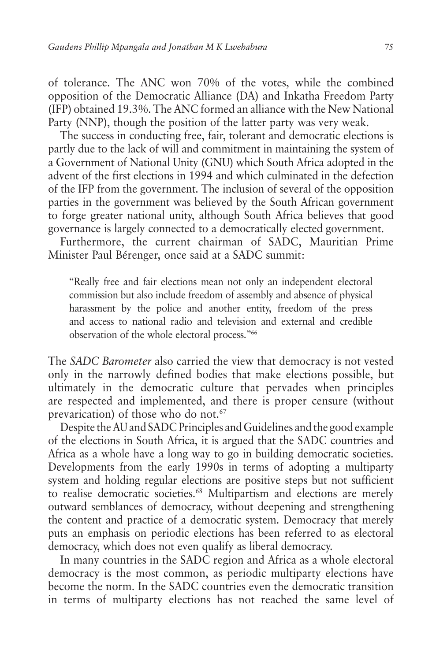of tolerance. The ANC won 70% of the votes, while the combined opposition of the Democratic Alliance (DA) and Inkatha Freedom Party (IFP) obtained 19.3%. The ANC formed an alliance with the New National Party (NNP), though the position of the latter party was very weak.

The success in conducting free, fair, tolerant and democratic elections is partly due to the lack of will and commitment in maintaining the system of a Government of National Unity (GNU) which South Africa adopted in the advent of the first elections in 1994 and which culminated in the defection of the IFP from the government. The inclusion of several of the opposition parties in the government was believed by the South African government to forge greater national unity, although South Africa believes that good governance is largely connected to a democratically elected government.

Furthermore, the current chairman of SADC, Mauritian Prime Minister Paul Bérenger, once said at a SADC summit:

"Really free and fair elections mean not only an independent electoral commission but also include freedom of assembly and absence of physical harassment by the police and another entity, freedom of the press and access to national radio and television and external and credible observation of the whole electoral process."66

The *SADC Barometer* also carried the view that democracy is not vested only in the narrowly defined bodies that make elections possible, but ultimately in the democratic culture that pervades when principles are respected and implemented, and there is proper censure (without prevarication) of those who do not.<sup>67</sup>

Despite the AU and SADC Principles and Guidelines and the good example of the elections in South Africa, it is argued that the SADC countries and Africa as a whole have a long way to go in building democratic societies. Developments from the early 1990s in terms of adopting a multiparty system and holding regular elections are positive steps but not sufficient to realise democratic societies.68 Multipartism and elections are merely outward semblances of democracy, without deepening and strengthening the content and practice of a democratic system. Democracy that merely puts an emphasis on periodic elections has been referred to as electoral democracy, which does not even qualify as liberal democracy.

In many countries in the SADC region and Africa as a whole electoral democracy is the most common, as periodic multiparty elections have become the norm. In the SADC countries even the democratic transition in terms of multiparty elections has not reached the same level of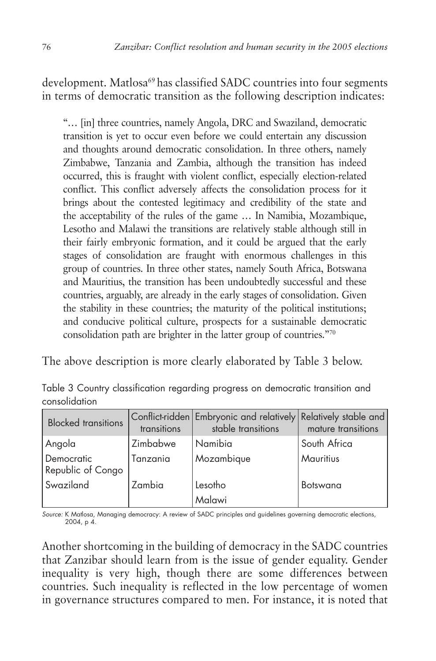development. Matlosa<sup>69</sup> has classified SADC countries into four segments in terms of democratic transition as the following description indicates:

"… [in] three countries, namely Angola, DRC and Swaziland, democratic transition is yet to occur even before we could entertain any discussion and thoughts around democratic consolidation. In three others, namely Zimbabwe, Tanzania and Zambia, although the transition has indeed occurred, this is fraught with violent conflict, especially election-related conflict. This conflict adversely affects the consolidation process for it brings about the contested legitimacy and credibility of the state and the acceptability of the rules of the game … In Namibia, Mozambique, Lesotho and Malawi the transitions are relatively stable although still in their fairly embryonic formation, and it could be argued that the early stages of consolidation are fraught with enormous challenges in this group of countries. In three other states, namely South Africa, Botswana and Mauritius, the transition has been undoubtedly successful and these countries, arguably, are already in the early stages of consolidation. Given the stability in these countries; the maturity of the political institutions; and conducive political culture, prospects for a sustainable democratic consolidation path are brighter in the latter group of countries."70

The above description is more clearly elaborated by Table 3 below.

| Table 3 Country classification regarding progress on democratic transition and |  |  |  |  |
|--------------------------------------------------------------------------------|--|--|--|--|
| consolidation                                                                  |  |  |  |  |

| <b>Blocked transitions</b>      | transitions | Conflict-ridden Embryonic and relatively Relatively stable and<br>stable transitions | mature transitions |
|---------------------------------|-------------|--------------------------------------------------------------------------------------|--------------------|
| Angola                          | Zimbabwe    | l Namibia                                                                            | South Africa       |
| Democratic<br>Republic of Congo | Tanzania    | Mozambique                                                                           | <b>Mauritius</b>   |
| Swaziland                       | Zambia      | Lesotho                                                                              | Botswana           |
|                                 |             | Malawi                                                                               |                    |

*Source:* K Matlosa, Managing democracy: A review of SADC principles and guidelines governing democratic elections, 2004, p 4.

Another shortcoming in the building of democracy in the SADC countries that Zanzibar should learn from is the issue of gender equality. Gender inequality is very high, though there are some differences between countries. Such inequality is reflected in the low percentage of women in governance structures compared to men. For instance, it is noted that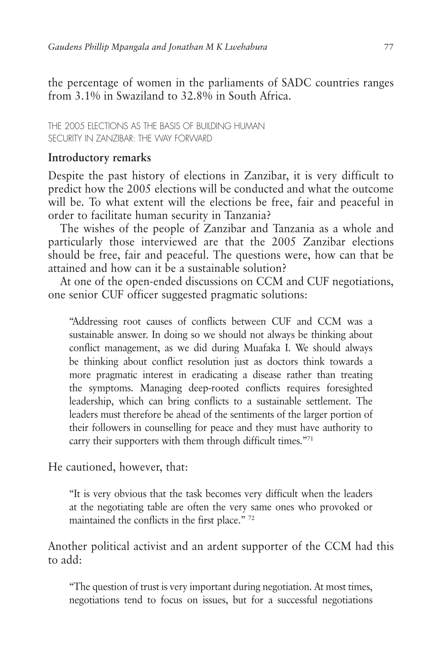the percentage of women in the parliaments of SADC countries ranges from 3.1% in Swaziland to 32.8% in South Africa.

THE 2005 FIECTIONS AS THE BASIS OF BUILDING HUMAN SECURITY IN ZANZIBAR: THE WAY FORWARD

## **Introductory remarks**

Despite the past history of elections in Zanzibar, it is very difficult to predict how the 2005 elections will be conducted and what the outcome will be. To what extent will the elections be free, fair and peaceful in order to facilitate human security in Tanzania?

The wishes of the people of Zanzibar and Tanzania as a whole and particularly those interviewed are that the 2005 Zanzibar elections should be free, fair and peaceful. The questions were, how can that be attained and how can it be a sustainable solution?

At one of the open-ended discussions on CCM and CUF negotiations, one senior CUF officer suggested pragmatic solutions:

"Addressing root causes of conflicts between CUF and CCM was a sustainable answer. In doing so we should not always be thinking about conflict management, as we did during Muafaka I. We should always be thinking about conflict resolution just as doctors think towards a more pragmatic interest in eradicating a disease rather than treating the symptoms. Managing deep-rooted conflicts requires foresighted leadership, which can bring conflicts to a sustainable settlement. The leaders must therefore be ahead of the sentiments of the larger portion of their followers in counselling for peace and they must have authority to carry their supporters with them through difficult times."71

He cautioned, however, that:

"It is very obvious that the task becomes very difficult when the leaders at the negotiating table are often the very same ones who provoked or maintained the conflicts in the first place." 72

Another political activist and an ardent supporter of the CCM had this to add:

"The question of trust is very important during negotiation. At most times, negotiations tend to focus on issues, but for a successful negotiations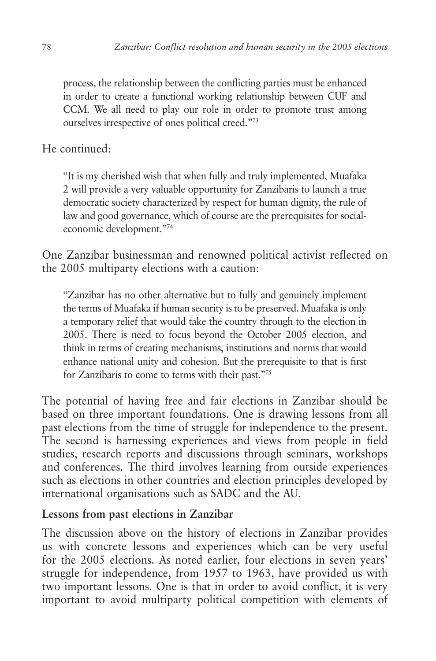process, the relationship between the conflicting parties must be enhanced in order to create a functional working relationship between CUF and CCM. We all need to play our role in order to promote trust among ourselves irrespective of ones political creed."73

# He continued:

"It is my cherished wish that when fully and truly implemented, Muafaka 2 will provide a very valuable opportunity for Zanzibaris to launch a true democratic society characterized by respect for human dignity, the rule of law and good governance, which of course are the prerequisites for socialeconomic development."74

One Zanzibar businessman and renowned political activist reflected on the 2005 multiparty elections with a caution:

"Zanzibar has no other alternative but to fully and genuinely implement the terms of Muafaka if human security is to be preserved. Muafaka is only a temporary relief that would take the country through to the election in 2005. There is need to focus beyond the October 2005 election, and think in terms of creating mechanisms, institutions and norms that would enhance national unity and cohesion. But the prerequisite to that is first for Zanzibaris to come to terms with their past."75

The potential of having free and fair elections in Zanzibar should be based on three important foundations. One is drawing lessons from all past elections from the time of struggle for independence to the present. The second is harnessing experiences and views from people in field studies, research reports and discussions through seminars, workshops and conferences. The third involves learning from outside experiences such as elections in other countries and election principles developed by international organisations such as SADC and the AU.

# **Lessons from past elections in Zanzibar**

The discussion above on the history of elections in Zanzibar provides us with concrete lessons and experiences which can be very useful for the 2005 elections. As noted earlier, four elections in seven years' struggle for independence, from 1957 to 1963, have provided us with two important lessons. One is that in order to avoid conflict, it is very important to avoid multiparty political competition with elements of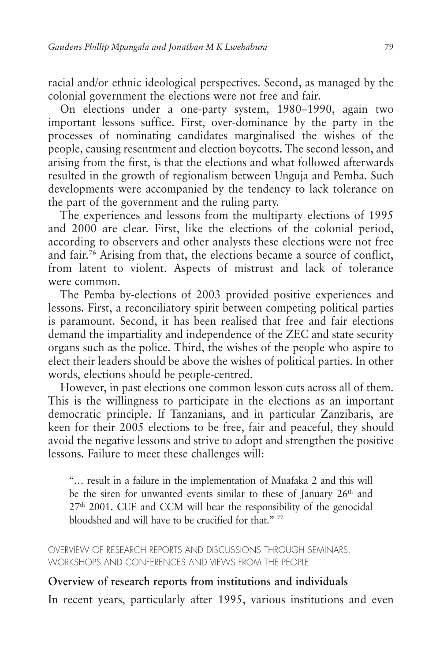racial and/or ethnic ideological perspectives. Second, as managed by the colonial government the elections were not free and fair.

On elections under a one-party system, 1980–1990, again two important lessons suffice. First, over-dominance by the party in the processes of nominating candidates marginalised the wishes of the people, causing resentment and election boycotts**.** The second lesson, and arising from the first, is that the elections and what followed afterwards resulted in the growth of regionalism between Unguja and Pemba. Such developments were accompanied by the tendency to lack tolerance on the part of the government and the ruling party.

The experiences and lessons from the multiparty elections of 1995 and 2000 are clear. First, like the elections of the colonial period, according to observers and other analysts these elections were not free and fair.76 Arising from that, the elections became a source of conflict, from latent to violent. Aspects of mistrust and lack of tolerance were common.

The Pemba by-elections of 2003 provided positive experiences and lessons. First, a reconciliatory spirit between competing political parties is paramount. Second, it has been realised that free and fair elections demand the impartiality and independence of the ZEC and state security organs such as the police. Third, the wishes of the people who aspire to elect their leaders should be above the wishes of political parties. In other words, elections should be people-centred.

However, in past elections one common lesson cuts across all of them. This is the willingness to participate in the elections as an important democratic principle. If Tanzanians, and in particular Zanzibaris, are keen for their 2005 elections to be free, fair and peaceful, they should avoid the negative lessons and strive to adopt and strengthen the positive lessons. Failure to meet these challenges will:

"… result in a failure in the implementation of Muafaka 2 and this will be the siren for unwanted events similar to these of January 26<sup>th</sup> and  $27<sup>th</sup>$  2001. CUF and CCM will bear the responsibility of the genocidal bloodshed and will have to be crucified for that."<sup>77</sup>

OVERVIEW OF RESEARCH REPORTS AND DISCUSSIONS THROUGH SEMINARS, WORKSHOPS AND CONFERENCES AND VIEWS FROM THE PEOPLE

## **Overview of research reports from institutions and individuals**

In recent years, particularly after 1995, various institutions and even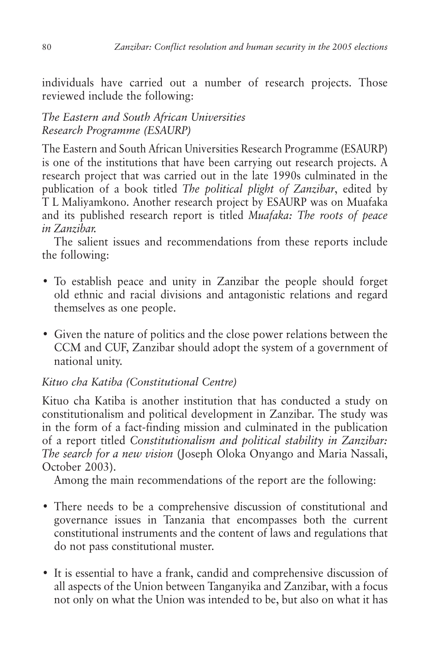individuals have carried out a number of research projects. Those reviewed include the following:

# *The Eastern and South African Universities Research Programme (ESAURP)*

The Eastern and South African Universities Research Programme (ESAURP) is one of the institutions that have been carrying out research projects. A research project that was carried out in the late 1990s culminated in the publication of a book titled *The political plight of Zanzibar*, edited by T L Maliyamkono. Another research project by ESAURP was on Muafaka and its published research report is titled *Muafaka: The roots of peace in Zanzibar.*

The salient issues and recommendations from these reports include the following:

- To establish peace and unity in Zanzibar the people should forget old ethnic and racial divisions and antagonistic relations and regard themselves as one people.
- Given the nature of politics and the close power relations between the CCM and CUF, Zanzibar should adopt the system of a government of national unity.

# *Kituo cha Katiba (Constitutional Centre)*

Kituo cha Katiba is another institution that has conducted a study on constitutionalism and political development in Zanzibar. The study was in the form of a fact-finding mission and culminated in the publication of a report titled *Constitutionalism and political stability in Zanzibar: The search for a new vision* (Joseph Oloka Onyango and Maria Nassali, October 2003).

Among the main recommendations of the report are the following:

- There needs to be a comprehensive discussion of constitutional and governance issues in Tanzania that encompasses both the current constitutional instruments and the content of laws and regulations that do not pass constitutional muster.
- It is essential to have a frank, candid and comprehensive discussion of all aspects of the Union between Tanganyika and Zanzibar, with a focus not only on what the Union was intended to be, but also on what it has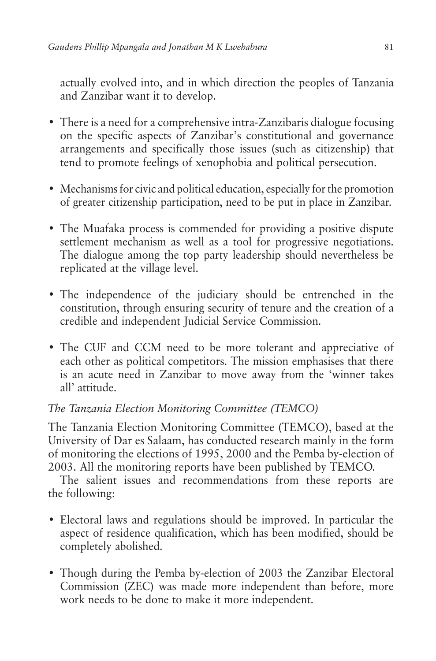actually evolved into, and in which direction the peoples of Tanzania and Zanzibar want it to develop.

- There is a need for a comprehensive intra-Zanzibaris dialogue focusing on the specific aspects of Zanzibar's constitutional and governance arrangements and specifically those issues (such as citizenship) that tend to promote feelings of xenophobia and political persecution.
- Mechanisms for civic and political education, especially for the promotion of greater citizenship participation, need to be put in place in Zanzibar.
- The Muafaka process is commended for providing a positive dispute settlement mechanism as well as a tool for progressive negotiations. The dialogue among the top party leadership should nevertheless be replicated at the village level.
- The independence of the judiciary should be entrenched in the constitution, through ensuring security of tenure and the creation of a credible and independent Judicial Service Commission.
- The CUF and CCM need to be more tolerant and appreciative of each other as political competitors. The mission emphasises that there is an acute need in Zanzibar to move away from the 'winner takes all' attitude.

# *The Tanzania Election Monitoring Committee (TEMCO)*

The Tanzania Election Monitoring Committee (TEMCO), based at the University of Dar es Salaam, has conducted research mainly in the form of monitoring the elections of 1995, 2000 and the Pemba by-election of 2003. All the monitoring reports have been published by TEMCO.

The salient issues and recommendations from these reports are the following:

- Electoral laws and regulations should be improved. In particular the aspect of residence qualification, which has been modified, should be completely abolished.
- Though during the Pemba by-election of 2003 the Zanzibar Electoral Commission (ZEC) was made more independent than before, more work needs to be done to make it more independent.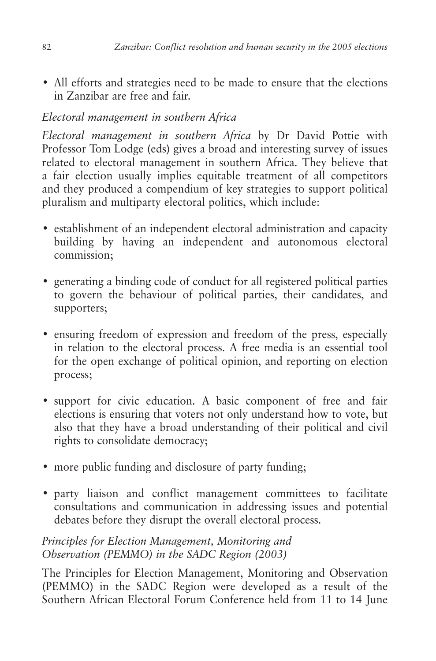• All efforts and strategies need to be made to ensure that the elections in Zanzibar are free and fair.

# *Electoral management in southern Africa*

*Electoral management in southern Africa* by Dr David Pottie with Professor Tom Lodge (eds) gives a broad and interesting survey of issues related to electoral management in southern Africa. They believe that a fair election usually implies equitable treatment of all competitors and they produced a compendium of key strategies to support political pluralism and multiparty electoral politics, which include:

- establishment of an independent electoral administration and capacity building by having an independent and autonomous electoral commission;
- generating a binding code of conduct for all registered political parties to govern the behaviour of political parties, their candidates, and supporters;
- ensuring freedom of expression and freedom of the press, especially in relation to the electoral process. A free media is an essential tool for the open exchange of political opinion, and reporting on election process;
- support for civic education. A basic component of free and fair elections is ensuring that voters not only understand how to vote, but also that they have a broad understanding of their political and civil rights to consolidate democracy;
- more public funding and disclosure of party funding;
- party liaison and conflict management committees to facilitate consultations and communication in addressing issues and potential debates before they disrupt the overall electoral process.

# *Principles for Election Management, Monitoring and Observation (PEMMO) in the SADC Region (2003)*

The Principles for Election Management, Monitoring and Observation (PEMMO) in the SADC Region were developed as a result of the Southern African Electoral Forum Conference held from 11 to 14 June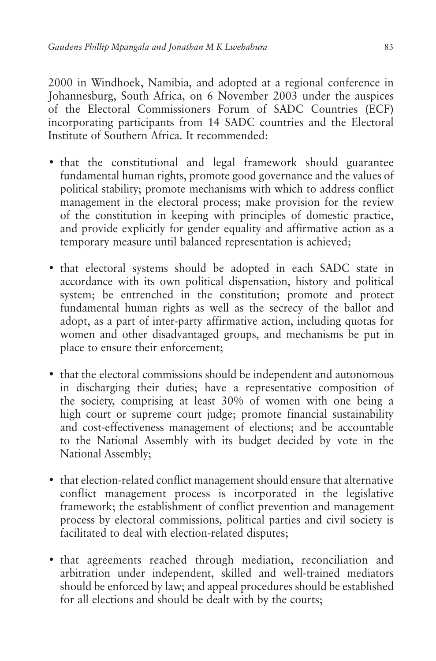2000 in Windhoek, Namibia, and adopted at a regional conference in Johannesburg, South Africa, on 6 November 2003 under the auspices of the Electoral Commissioners Forum of SADC Countries (ECF) incorporating participants from 14 SADC countries and the Electoral Institute of Southern Africa. It recommended:

- that the constitutional and legal framework should guarantee fundamental human rights, promote good governance and the values of political stability; promote mechanisms with which to address conflict management in the electoral process; make provision for the review of the constitution in keeping with principles of domestic practice, and provide explicitly for gender equality and affirmative action as a temporary measure until balanced representation is achieved;
- that electoral systems should be adopted in each SADC state in accordance with its own political dispensation, history and political system; be entrenched in the constitution; promote and protect fundamental human rights as well as the secrecy of the ballot and adopt, as a part of inter-party affirmative action, including quotas for women and other disadvantaged groups, and mechanisms be put in place to ensure their enforcement;
- that the electoral commissions should be independent and autonomous in discharging their duties; have a representative composition of the society, comprising at least 30% of women with one being a high court or supreme court judge; promote financial sustainability and cost-effectiveness management of elections; and be accountable to the National Assembly with its budget decided by vote in the National Assembly;
- that election-related conflict management should ensure that alternative conflict management process is incorporated in the legislative framework; the establishment of conflict prevention and management process by electoral commissions, political parties and civil society is facilitated to deal with election-related disputes;
- that agreements reached through mediation, reconciliation and arbitration under independent, skilled and well-trained mediators should be enforced by law; and appeal procedures should be established for all elections and should be dealt with by the courts;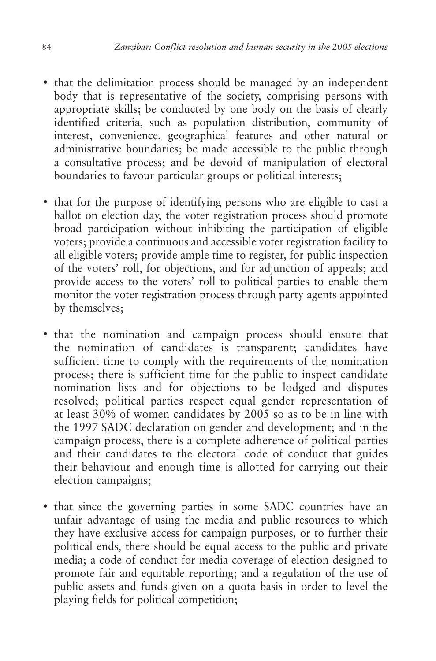- that the delimitation process should be managed by an independent body that is representative of the society, comprising persons with appropriate skills; be conducted by one body on the basis of clearly identified criteria, such as population distribution, community of interest, convenience, geographical features and other natural or administrative boundaries; be made accessible to the public through a consultative process; and be devoid of manipulation of electoral boundaries to favour particular groups or political interests;
- that for the purpose of identifying persons who are eligible to cast a ballot on election day, the voter registration process should promote broad participation without inhibiting the participation of eligible voters; provide a continuous and accessible voter registration facility to all eligible voters; provide ample time to register, for public inspection of the voters' roll, for objections, and for adjunction of appeals; and provide access to the voters' roll to political parties to enable them monitor the voter registration process through party agents appointed by themselves;
- that the nomination and campaign process should ensure that the nomination of candidates is transparent; candidates have sufficient time to comply with the requirements of the nomination process; there is sufficient time for the public to inspect candidate nomination lists and for objections to be lodged and disputes resolved; political parties respect equal gender representation of at least 30% of women candidates by 2005 so as to be in line with the 1997 SADC declaration on gender and development; and in the campaign process, there is a complete adherence of political parties and their candidates to the electoral code of conduct that guides their behaviour and enough time is allotted for carrying out their election campaigns;
- that since the governing parties in some SADC countries have an unfair advantage of using the media and public resources to which they have exclusive access for campaign purposes, or to further their political ends, there should be equal access to the public and private media; a code of conduct for media coverage of election designed to promote fair and equitable reporting; and a regulation of the use of public assets and funds given on a quota basis in order to level the playing fields for political competition;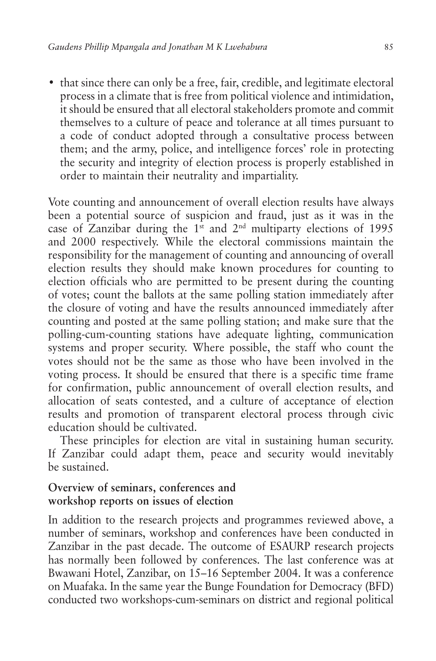• that since there can only be a free, fair, credible, and legitimate electoral process in a climate that is free from political violence and intimidation, it should be ensured that all electoral stakeholders promote and commit themselves to a culture of peace and tolerance at all times pursuant to a code of conduct adopted through a consultative process between them; and the army, police, and intelligence forces' role in protecting the security and integrity of election process is properly established in order to maintain their neutrality and impartiality.

Vote counting and announcement of overall election results have always been a potential source of suspicion and fraud, just as it was in the case of Zanzibar during the  $1<sup>st</sup>$  and  $2<sup>nd</sup>$  multiparty elections of 1995 and 2000 respectively. While the electoral commissions maintain the responsibility for the management of counting and announcing of overall election results they should make known procedures for counting to election officials who are permitted to be present during the counting of votes; count the ballots at the same polling station immediately after the closure of voting and have the results announced immediately after counting and posted at the same polling station; and make sure that the polling-cum-counting stations have adequate lighting, communication systems and proper security. Where possible, the staff who count the votes should not be the same as those who have been involved in the voting process. It should be ensured that there is a specific time frame for confirmation, public announcement of overall election results, and allocation of seats contested, and a culture of acceptance of election results and promotion of transparent electoral process through civic education should be cultivated.

These principles for election are vital in sustaining human security. If Zanzibar could adapt them, peace and security would inevitably be sustained.

## **Overview of seminars, conferences and workshop reports on issues of election**

In addition to the research projects and programmes reviewed above, a number of seminars, workshop and conferences have been conducted in Zanzibar in the past decade. The outcome of ESAURP research projects has normally been followed by conferences. The last conference was at Bwawani Hotel, Zanzibar, on 15–16 September 2004. It was a conference on Muafaka. In the same year the Bunge Foundation for Democracy (BFD) conducted two workshops-cum-seminars on district and regional political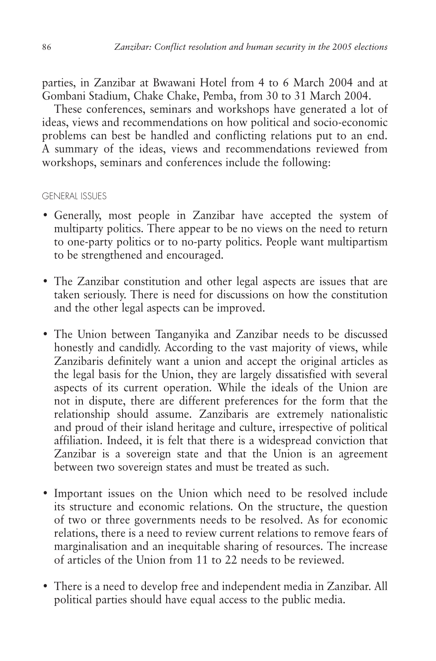parties, in Zanzibar at Bwawani Hotel from 4 to 6 March 2004 and at Gombani Stadium, Chake Chake, Pemba, from 30 to 31 March 2004.

These conferences, seminars and workshops have generated a lot of ideas, views and recommendations on how political and socio-economic problems can best be handled and conflicting relations put to an end. A summary of the ideas, views and recommendations reviewed from workshops, seminars and conferences include the following:

#### GENERAL ISSUES

- Generally, most people in Zanzibar have accepted the system of multiparty politics. There appear to be no views on the need to return to one-party politics or to no-party politics. People want multipartism to be strengthened and encouraged.
- The Zanzibar constitution and other legal aspects are issues that are taken seriously. There is need for discussions on how the constitution and the other legal aspects can be improved.
- The Union between Tanganyika and Zanzibar needs to be discussed honestly and candidly. According to the vast majority of views, while Zanzibaris definitely want a union and accept the original articles as the legal basis for the Union, they are largely dissatisfied with several aspects of its current operation. While the ideals of the Union are not in dispute, there are different preferences for the form that the relationship should assume. Zanzibaris are extremely nationalistic and proud of their island heritage and culture, irrespective of political affiliation. Indeed, it is felt that there is a widespread conviction that Zanzibar is a sovereign state and that the Union is an agreement between two sovereign states and must be treated as such.
- Important issues on the Union which need to be resolved include its structure and economic relations. On the structure, the question of two or three governments needs to be resolved. As for economic relations, there is a need to review current relations to remove fears of marginalisation and an inequitable sharing of resources. The increase of articles of the Union from 11 to 22 needs to be reviewed.
- There is a need to develop free and independent media in Zanzibar. All political parties should have equal access to the public media.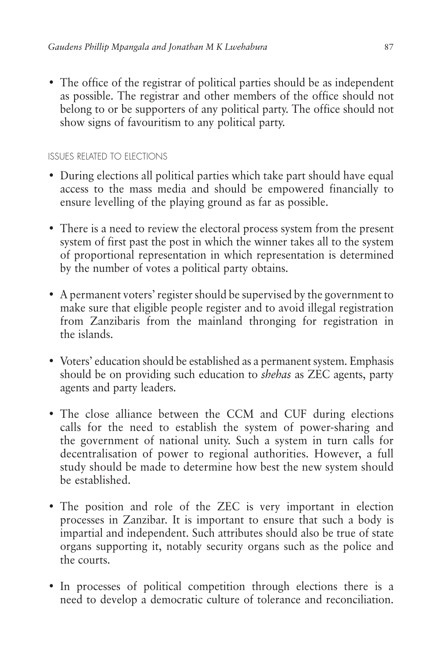• The office of the registrar of political parties should be as independent as possible. The registrar and other members of the office should not belong to or be supporters of any political party. The office should not show signs of favouritism to any political party.

## ISSUES RELATED TO ELECTIONS

- During elections all political parties which take part should have equal access to the mass media and should be empowered financially to ensure levelling of the playing ground as far as possible.
- There is a need to review the electoral process system from the present system of first past the post in which the winner takes all to the system of proportional representation in which representation is determined by the number of votes a political party obtains.
- A permanent voters' register should be supervised by the government to make sure that eligible people register and to avoid illegal registration from Zanzibaris from the mainland thronging for registration in the islands.
- Voters' education should be established as a permanent system. Emphasis should be on providing such education to *shehas* as ZEC agents, party agents and party leaders.
- The close alliance between the CCM and CUF during elections calls for the need to establish the system of power-sharing and the government of national unity. Such a system in turn calls for decentralisation of power to regional authorities. However, a full study should be made to determine how best the new system should be established.
- The position and role of the ZEC is very important in election processes in Zanzibar. It is important to ensure that such a body is impartial and independent. Such attributes should also be true of state organs supporting it, notably security organs such as the police and the courts.
- In processes of political competition through elections there is a need to develop a democratic culture of tolerance and reconciliation.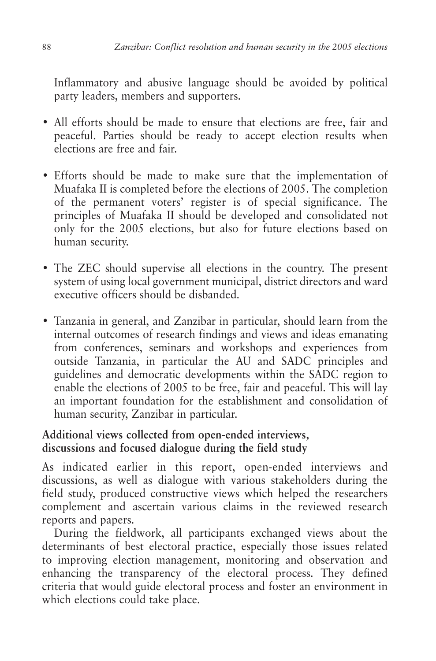Inflammatory and abusive language should be avoided by political party leaders, members and supporters.

- All efforts should be made to ensure that elections are free, fair and peaceful. Parties should be ready to accept election results when elections are free and fair.
- Efforts should be made to make sure that the implementation of Muafaka II is completed before the elections of 2005. The completion of the permanent voters' register is of special significance. The principles of Muafaka II should be developed and consolidated not only for the 2005 elections, but also for future elections based on human security.
- The ZEC should supervise all elections in the country. The present system of using local government municipal, district directors and ward executive officers should be disbanded.
- Tanzania in general, and Zanzibar in particular, should learn from the internal outcomes of research findings and views and ideas emanating from conferences, seminars and workshops and experiences from outside Tanzania, in particular the AU and SADC principles and guidelines and democratic developments within the SADC region to enable the elections of 2005 to be free, fair and peaceful. This will lay an important foundation for the establishment and consolidation of human security, Zanzibar in particular.

# **Additional views collected from open-ended interviews, discussions and focused dialogue during the field study**

As indicated earlier in this report, open-ended interviews and discussions, as well as dialogue with various stakeholders during the field study, produced constructive views which helped the researchers complement and ascertain various claims in the reviewed research reports and papers.

During the fieldwork, all participants exchanged views about the determinants of best electoral practice, especially those issues related to improving election management, monitoring and observation and enhancing the transparency of the electoral process. They defined criteria that would guide electoral process and foster an environment in which elections could take place.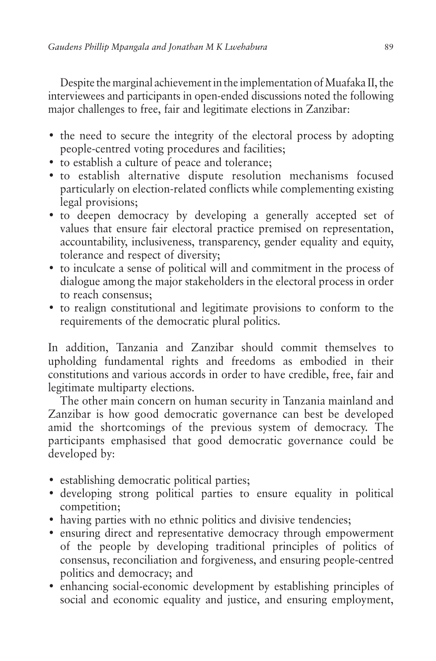Despite the marginal achievement in the implementation of Muafaka II, the interviewees and participants in open-ended discussions noted the following major challenges to free, fair and legitimate elections in Zanzibar:

- the need to secure the integrity of the electoral process by adopting people-centred voting procedures and facilities;
- to establish a culture of peace and tolerance;
- to establish alternative dispute resolution mechanisms focused particularly on election-related conflicts while complementing existing legal provisions;
- to deepen democracy by developing a generally accepted set of values that ensure fair electoral practice premised on representation, accountability, inclusiveness, transparency, gender equality and equity, tolerance and respect of diversity;
- to inculcate a sense of political will and commitment in the process of dialogue among the major stakeholders in the electoral process in order to reach consensus;
- to realign constitutional and legitimate provisions to conform to the requirements of the democratic plural politics.

In addition, Tanzania and Zanzibar should commit themselves to upholding fundamental rights and freedoms as embodied in their constitutions and various accords in order to have credible, free, fair and legitimate multiparty elections.

The other main concern on human security in Tanzania mainland and Zanzibar is how good democratic governance can best be developed amid the shortcomings of the previous system of democracy. The participants emphasised that good democratic governance could be developed by:

- establishing democratic political parties;
- developing strong political parties to ensure equality in political competition;
- having parties with no ethnic politics and divisive tendencies;
- ensuring direct and representative democracy through empowerment of the people by developing traditional principles of politics of consensus, reconciliation and forgiveness, and ensuring people-centred politics and democracy; and
- enhancing social-economic development by establishing principles of social and economic equality and justice, and ensuring employment,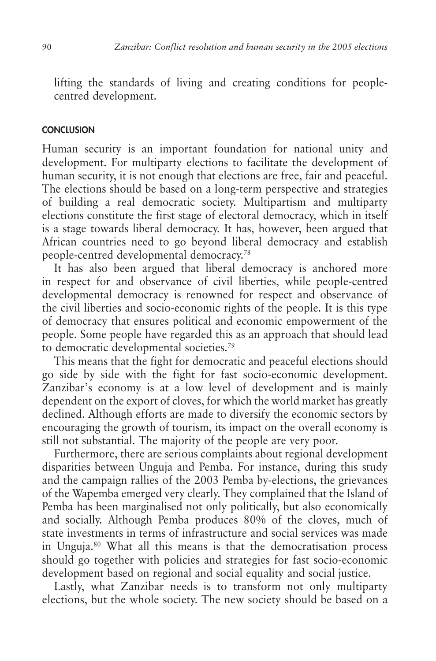lifting the standards of living and creating conditions for peoplecentred development.

#### **CONCLUSION**

Human security is an important foundation for national unity and development. For multiparty elections to facilitate the development of human security, it is not enough that elections are free, fair and peaceful. The elections should be based on a long-term perspective and strategies of building a real democratic society. Multipartism and multiparty elections constitute the first stage of electoral democracy, which in itself is a stage towards liberal democracy. It has, however, been argued that African countries need to go beyond liberal democracy and establish people-centred developmental democracy.78

It has also been argued that liberal democracy is anchored more in respect for and observance of civil liberties, while people-centred developmental democracy is renowned for respect and observance of the civil liberties and socio-economic rights of the people. It is this type of democracy that ensures political and economic empowerment of the people. Some people have regarded this as an approach that should lead to democratic developmental societies.79

This means that the fight for democratic and peaceful elections should go side by side with the fight for fast socio-economic development. Zanzibar's economy is at a low level of development and is mainly dependent on the export of cloves, for which the world market has greatly declined. Although efforts are made to diversify the economic sectors by encouraging the growth of tourism, its impact on the overall economy is still not substantial. The majority of the people are very poor.

Furthermore, there are serious complaints about regional development disparities between Unguja and Pemba. For instance, during this study and the campaign rallies of the 2003 Pemba by-elections, the grievances of the Wapemba emerged very clearly. They complained that the Island of Pemba has been marginalised not only politically, but also economically and socially. Although Pemba produces 80% of the cloves, much of state investments in terms of infrastructure and social services was made in Unguja.80 What all this means is that the democratisation process should go together with policies and strategies for fast socio-economic development based on regional and social equality and social justice.

Lastly, what Zanzibar needs is to transform not only multiparty elections, but the whole society. The new society should be based on a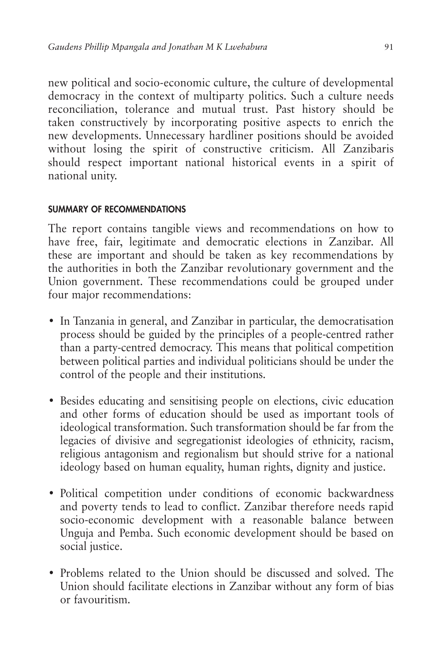new political and socio-economic culture, the culture of developmental democracy in the context of multiparty politics. Such a culture needs reconciliation, tolerance and mutual trust. Past history should be taken constructively by incorporating positive aspects to enrich the new developments. Unnecessary hardliner positions should be avoided without losing the spirit of constructive criticism. All Zanzibaris should respect important national historical events in a spirit of national unity.

## **SUMMARY OF RECOMMENDATIONS**

The report contains tangible views and recommendations on how to have free, fair, legitimate and democratic elections in Zanzibar. All these are important and should be taken as key recommendations by the authorities in both the Zanzibar revolutionary government and the Union government. These recommendations could be grouped under four major recommendations:

- In Tanzania in general, and Zanzibar in particular, the democratisation process should be guided by the principles of a people-centred rather than a party-centred democracy. This means that political competition between political parties and individual politicians should be under the control of the people and their institutions.
- Besides educating and sensitising people on elections, civic education and other forms of education should be used as important tools of ideological transformation. Such transformation should be far from the legacies of divisive and segregationist ideologies of ethnicity, racism, religious antagonism and regionalism but should strive for a national ideology based on human equality, human rights, dignity and justice.
- Political competition under conditions of economic backwardness and poverty tends to lead to conflict. Zanzibar therefore needs rapid socio-economic development with a reasonable balance between Unguja and Pemba. Such economic development should be based on social justice.
- Problems related to the Union should be discussed and solved. The Union should facilitate elections in Zanzibar without any form of bias or favouritism.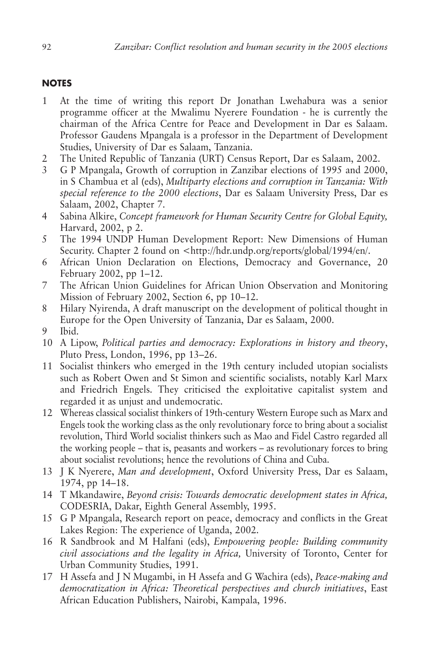#### **NOTES**

- 1 At the time of writing this report Dr Jonathan Lwehabura was a senior programme officer at the Mwalimu Nyerere Foundation - he is currently the chairman of the Africa Centre for Peace and Development in Dar es Salaam. Professor Gaudens Mpangala is a professor in the Department of Development Studies, University of Dar es Salaam, Tanzania.
- 2 The United Republic of Tanzania (URT) Census Report, Dar es Salaam, 2002.
- 3 G P Mpangala, Growth of corruption in Zanzibar elections of 1995 and 2000, in S Chambua et al (eds), *Multiparty elections and corruption in Tanzania: With special reference to the 2000 elections*, Dar es Salaam University Press, Dar es Salaam, 2002, Chapter 7.
- 4 Sabina Alkire, *Concept framework for Human Security Centre for Global Equity,* Harvard, 2002, p 2.
- 5 The 1994 UNDP Human Development Report: New Dimensions of Human Security. Chapter 2 found on <http://hdr.undp.org/reports/global/1994/en/.
- 6 African Union Declaration on Elections, Democracy and Governance, 20 February 2002, pp 1–12.
- 7 The African Union Guidelines for African Union Observation and Monitoring Mission of February 2002, Section 6, pp 10–12.
- 8 Hilary Nyirenda, A draft manuscript on the development of political thought in Europe for the Open University of Tanzania, Dar es Salaam, 2000.
- 9 Ibid.
- 10 A Lipow, *Political parties and democracy: Explorations in history and theory*, Pluto Press, London, 1996, pp 13–26.
- 11 Socialist thinkers who emerged in the 19th century included utopian socialists such as Robert Owen and St Simon and scientific socialists, notably Karl Marx and Friedrich Engels. They criticised the exploitative capitalist system and regarded it as unjust and undemocratic.
- 12 Whereas classical socialist thinkers of 19th-century Western Europe such as Marx and Engels took the working class as the only revolutionary force to bring about a socialist revolution, Third World socialist thinkers such as Mao and Fidel Castro regarded all the working people – that is, peasants and workers – as revolutionary forces to bring about socialist revolutions; hence the revolutions of China and Cuba.
- 13 J K Nyerere, *Man and development*, Oxford University Press, Dar es Salaam, 1974, pp 14–18.
- 14 T Mkandawire, *Beyond crisis: Towards democratic development states in Africa,* CODESRIA, Dakar, Eighth General Assembly, 1995.
- 15 G P Mpangala, Research report on peace, democracy and conflicts in the Great Lakes Region: The experience of Uganda, 2002.
- 16 R Sandbrook and M Halfani (eds), *Empowering people: Building community civil associations and the legality in Africa,* University of Toronto, Center for Urban Community Studies, 1991.
- 17 H Assefa and J N Mugambi, in H Assefa and G Wachira (eds), *Peace-making and democratization in Africa: Theoretical perspectives and church initiatives*, East African Education Publishers, Nairobi, Kampala, 1996.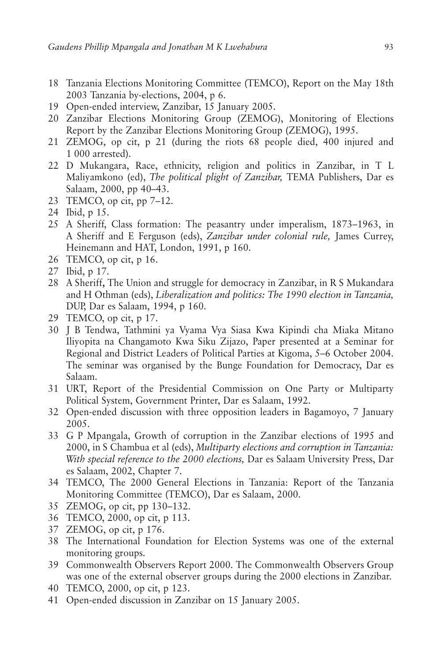- 18 Tanzania Elections Monitoring Committee (TEMCO), Report on the May 18th 2003 Tanzania by-elections, 2004, p 6.
- 19 Open-ended interview, Zanzibar, 15 January 2005.
- 20 Zanzibar Elections Monitoring Group (ZEMOG), Monitoring of Elections Report by the Zanzibar Elections Monitoring Group (ZEMOG), 1995.
- 21 ZEMOG, op cit, p 21 (during the riots 68 people died, 400 injured and 1 000 arrested).
- 22 D Mukangara, Race, ethnicity, religion and politics in Zanzibar, in T L Maliyamkono (ed), *The political plight of Zanzibar,* TEMA Publishers, Dar es Salaam, 2000, pp 40–43.
- 23 TEMCO, op cit, pp 7–12.
- 24 Ibid, p 15.
- 25 A Sheriff, Class formation: The peasantry under imperalism, 1873–1963, in A Sheriff and E Ferguson (eds), *Zanzibar under colonial rule,* James Currey, Heinemann and HAT, London, 1991, p 160.
- 26 TEMCO, op cit, p 16.
- 27 Ibid, p 17.
- 28 A Sheriff**,** The Union and struggle for democracy in Zanzibar, in R S Mukandara and H Othman (eds), *Liberalization and politics: The 1990 election in Tanzania,*  DUP, Dar es Salaam, 1994, p 160.
- 29 TEMCO, op cit, p 17.
- 30 J B Tendwa, Tathmini ya Vyama Vya Siasa Kwa Kipindi cha Miaka Mitano Iliyopita na Changamoto Kwa Siku Zijazo, Paper presented at a Seminar for Regional and District Leaders of Political Parties at Kigoma, 5–6 October 2004. The seminar was organised by the Bunge Foundation for Democracy, Dar es Salaam.
- 31 URT, Report of the Presidential Commission on One Party or Multiparty Political System, Government Printer, Dar es Salaam, 1992.
- 32 Open-ended discussion with three opposition leaders in Bagamoyo, 7 January 2005.
- 33 G P Mpangala, Growth of corruption in the Zanzibar elections of 1995 and 2000, in S Chambua et al (eds), *Multiparty elections and corruption in Tanzania: With special reference to the 2000 elections,* Dar es Salaam University Press, Dar es Salaam, 2002, Chapter 7.
- 34 TEMCO, The 2000 General Elections in Tanzania: Report of the Tanzania Monitoring Committee (TEMCO), Dar es Salaam, 2000.
- 35 ZEMOG, op cit, pp 130–132.
- 36 TEMCO, 2000, op cit, p 113.
- 37 ZEMOG, op cit, p 176.
- 38 The International Foundation for Election Systems was one of the external monitoring groups.
- 39 Commonwealth Observers Report 2000. The Commonwealth Observers Group was one of the external observer groups during the 2000 elections in Zanzibar.
- 40 TEMCO, 2000, op cit, p 123.
- 41 Open-ended discussion in Zanzibar on 15 January 2005.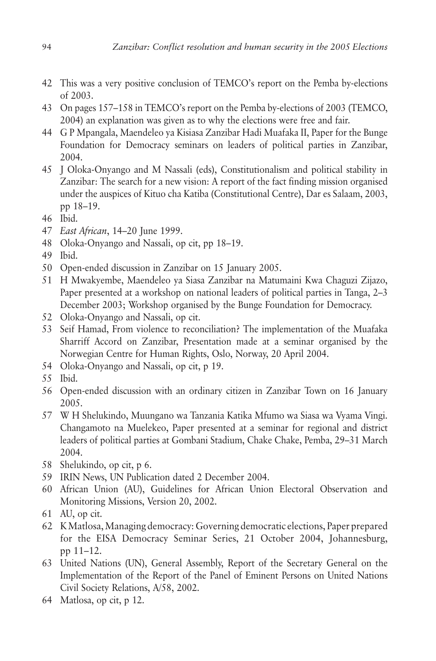- 42 This was a very positive conclusion of TEMCO's report on the Pemba by-elections of 2003.
- 43 On pages 157–158 in TEMCO's report on the Pemba by-elections of 2003 (TEMCO, 2004) an explanation was given as to why the elections were free and fair.
- 44 G P Mpangala, Maendeleo ya Kisiasa Zanzibar Hadi Muafaka II, Paper for the Bunge Foundation for Democracy seminars on leaders of political parties in Zanzibar, 2004.
- 45 J Oloka-Onyango and M Nassali (eds), Constitutionalism and political stability in Zanzibar: The search for a new vision: A report of the fact finding mission organised under the auspices of Kituo cha Katiba (Constitutional Centre), Dar es Salaam, 2003, pp 18–19.
- 46 Ibid.
- 47 *East African*, 14–20 June 1999.
- 48 Oloka-Onyango and Nassali, op cit, pp 18–19.
- 49 Ibid.
- 50 Open-ended discussion in Zanzibar on 15 January 2005.
- 51 H Mwakyembe, Maendeleo ya Siasa Zanzibar na Matumaini Kwa Chaguzi Zijazo, Paper presented at a workshop on national leaders of political parties in Tanga, 2–3 December 2003; Workshop organised by the Bunge Foundation for Democracy.
- 52 Oloka-Onyango and Nassali, op cit.
- 53 Seif Hamad, From violence to reconciliation? The implementation of the Muafaka Sharriff Accord on Zanzibar, Presentation made at a seminar organised by the Norwegian Centre for Human Rights, Oslo, Norway, 20 April 2004.
- 54 Oloka-Onyango and Nassali, op cit, p 19.
- 55 Ibid.
- 56 Open-ended discussion with an ordinary citizen in Zanzibar Town on 16 January 2005.
- 57 W H Shelukindo, Muungano wa Tanzania Katika Mfumo wa Siasa wa Vyama Vingi. Changamoto na Muelekeo, Paper presented at a seminar for regional and district leaders of political parties at Gombani Stadium, Chake Chake, Pemba, 29–31 March 2004.
- 58 Shelukindo, op cit, p 6.
- 59 IRIN News, UN Publication dated 2 December 2004.
- 60 African Union (AU), Guidelines for African Union Electoral Observation and Monitoring Missions, Version 20, 2002.
- 61 AU, op cit.
- 62 K Matlosa, Managing democracy: Governing democratic elections, Paper prepared for the EISA Democracy Seminar Series, 21 October 2004, Johannesburg, pp 11–12.
- 63 United Nations (UN), General Assembly, Report of the Secretary General on the Implementation of the Report of the Panel of Eminent Persons on United Nations Civil Society Relations, A/58, 2002.
- 64 Matlosa, op cit, p 12.